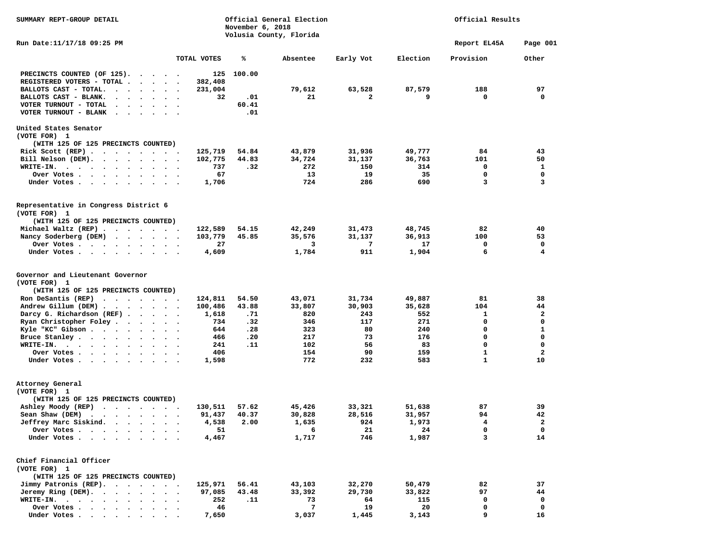| Volusia County, Florida<br>Run Date:11/17/18 09:25 PM<br>Report EL45A<br>TOTAL VOTES<br>℁<br>Absentee<br>Early Vot<br>Election<br>Provision<br>100.00<br>PRECINCTS COUNTED (OF 125).<br>125<br>$\ddot{\phantom{a}}$<br>$\sim$<br>REGISTERED VOTERS - TOTAL .<br>382,408<br>$\sim$<br>$\sim$<br>$\sim$<br>97<br>79,612<br>63,528<br>87,579<br>188<br>BALLOTS CAST - TOTAL.<br>231,004<br>$\ddot{\phantom{a}}$<br>$\ddot{\phantom{0}}$<br>$\bullet$<br>$\bullet$<br>BALLOTS CAST - BLANK.<br>32<br>.01<br>21<br>2<br>9<br>0<br>0<br>VOTER TURNOUT - TOTAL<br>60.41<br>$\bullet$<br>$\ddot{\phantom{a}}$<br>.01<br>VOTER TURNOUT - BLANK<br>$\sim$<br>United States Senator<br>(VOTE FOR) 1<br>(WITH 125 OF 125 PRECINCTS COUNTED)<br>125,719<br>54.84<br>43,879<br>31,936<br>49,777<br>84<br>43<br>Rick Scott $(REP)$<br>$\ddot{\phantom{1}}$<br>44.83<br>34,724<br>101<br>50<br>Bill Nelson (DEM).<br>102,775<br>31,137<br>36,763<br>$\cdot$ $\cdot$ $\cdot$ $\cdot$ $\cdot$<br>.32<br>272<br>150<br>314<br>0<br>1<br>WRITE-IN.<br>737<br>$\cdots$<br>$\ddot{\phantom{1}}$<br>$\cdot$<br>67<br>13<br>19<br>35<br>0<br>0<br>Over Votes .<br>$\sim$ $\sim$ $\sim$ $\sim$<br>$\cdot$ $\cdot$ $\cdot$<br>724<br>690<br>3<br>3<br>1,706<br>286<br>Under Votes.<br>$\cdot$ $\cdot$ $\cdot$ $\cdot$<br>$\ddot{\phantom{1}}$<br>$\bullet$<br>$\bullet$<br>Representative in Congress District 6<br>(VOTE FOR) 1<br>(WITH 125 OF 125 PRECINCTS COUNTED)<br>42,249<br>48,745<br>82<br>40<br>Michael Waltz (REP)<br>122,589<br>54.15<br>31,473<br>$\sim$ $\sim$<br>Nancy Soderberg (DEM)<br>103,779<br>45.85<br>35,576<br>31,137<br>36,913<br>100<br>53<br>$\sim$<br>$\cdot$ $\cdot$ $\cdot$ $\cdot$ $\cdot$<br>0<br>Over Votes<br>27<br>3<br>7<br>17<br>0<br>$\sim$<br>$\cdot$<br>$\cdot$<br>911<br>6<br>4<br>4,609<br>1,784<br>1,904<br>Under Votes<br>$\ddot{\phantom{1}}$<br>$\cdot$<br>Governor and Lieutenant Governor<br>(VOTE FOR) 1<br>(WITH 125 OF 125 PRECINCTS COUNTED)<br>49,887<br>81<br>38<br>Ron DeSantis (REP) $\cdots$ $\cdots$<br>124,811<br>54.50<br>43,071<br>31,734<br>Andrew Gillum (DEM)<br>43.88<br>33,807<br>30,903<br>35,628<br>104<br>44<br>100,486<br>$\mathbf{2}$<br>Darcy G. Richardson (REF).<br>820<br>243<br>1<br>1,618<br>.71<br>552<br>$\cdots$<br>271<br>$\mathbf 0$<br>Ryan Christopher Foley.<br>734<br>.32<br>346<br>117<br>0<br>$\sim$ $\sim$<br>$\ddot{\phantom{a}}$<br>$\mathbf{1}$<br>Kyle "KC" Gibson<br>644<br>.28<br>323<br>80<br>240<br>0<br>$\sim$ $\sim$ $\sim$<br>$\ddot{\phantom{a}}$<br>$\ddot{\phantom{1}}$<br>$\mathbf 0$<br>0<br>73<br>Bruce Stanley.<br>466<br>.20<br>217<br>176<br>$\cdots$<br>$\sim$<br>102<br>0<br>$\mathbf 0$<br>241<br>.11<br>56<br>83<br>WRITE-IN.<br>.<br>$\mathbf{2}$<br>406<br>154<br>90<br>159<br>1<br>Over Votes .<br>$\bullet$<br>$\bullet$ .<br><br><br><br><br><br><br>$\ddot{\phantom{0}}$<br>$\mathbf{1}$<br>772<br>232<br>583<br>10<br>Under Votes<br>1,598<br>$\bullet$<br>Attorney General<br>(VOTE FOR) 1<br>(WITH 125 OF 125 PRECINCTS COUNTED)<br>39<br>Ashley Moody (REP)<br>130,511<br>57.62<br>45,426<br>33,321<br>51,638<br>87<br>.<br>42<br>30,828<br>28,516<br>31,957<br>94<br>Sean Shaw (DEM)<br>91,437<br>40.37<br>$\begin{array}{cccccccccccccc} \bullet & \bullet & \bullet & \bullet & \bullet & \bullet & \bullet & \bullet & \bullet & \bullet \end{array}$<br>$\ddot{\phantom{1}}$<br>924<br>$\mathbf{2}$<br>Jeffrey Marc Siskind.<br>4,538<br>2.00<br>1,635<br>1,973<br>4<br>$\bullet$ . $\bullet$<br>$\bullet$<br>$\bullet$<br>0<br>51<br>21<br>24<br>0<br>Over Votes<br>6<br>1,717<br>746<br>1,987<br>3<br>14<br>Under Votes.<br>4,467<br>Chief Financial Officer<br>(VOTE FOR) 1<br>(WITH 125 OF 125 PRECINCTS COUNTED)<br>Jimmy Patronis (REP).<br>125,971<br>56.41<br>32,270<br>82<br>37<br>43,103<br>50,479<br>$\ddot{\phantom{a}}$<br>Jeremy Ring (DEM).<br>97,085<br>43.48<br>33,392<br>29,730<br>97<br>44<br>33,822<br>$\bullet$<br>$\ddot{\phantom{a}}$<br>0<br>0<br>WRITE-IN. .<br>252<br>.11<br>73<br>64<br>115<br>$\bullet$<br>$\ddot{\phantom{a}}$<br>$\bullet$<br>$\bullet$<br>$\ddot{\phantom{a}}$<br>$\bullet$<br>$\bullet$<br>$\bullet$<br>46 | SUMMARY REPT-GROUP DETAIL | November 6, 2018 | Official General Election |    |    | Official Results |          |
|-------------------------------------------------------------------------------------------------------------------------------------------------------------------------------------------------------------------------------------------------------------------------------------------------------------------------------------------------------------------------------------------------------------------------------------------------------------------------------------------------------------------------------------------------------------------------------------------------------------------------------------------------------------------------------------------------------------------------------------------------------------------------------------------------------------------------------------------------------------------------------------------------------------------------------------------------------------------------------------------------------------------------------------------------------------------------------------------------------------------------------------------------------------------------------------------------------------------------------------------------------------------------------------------------------------------------------------------------------------------------------------------------------------------------------------------------------------------------------------------------------------------------------------------------------------------------------------------------------------------------------------------------------------------------------------------------------------------------------------------------------------------------------------------------------------------------------------------------------------------------------------------------------------------------------------------------------------------------------------------------------------------------------------------------------------------------------------------------------------------------------------------------------------------------------------------------------------------------------------------------------------------------------------------------------------------------------------------------------------------------------------------------------------------------------------------------------------------------------------------------------------------------------------------------------------------------------------------------------------------------------------------------------------------------------------------------------------------------------------------------------------------------------------------------------------------------------------------------------------------------------------------------------------------------------------------------------------------------------------------------------------------------------------------------------------------------------------------------------------------------------------------------------------------------------------------------------------------------------------------------------------------------------------------------------------------------------------------------------------------------------------------------------------------------------------------------------------------------------------------------------------------------------------------------------------------------------------------------------------------------------------------------------------------------------------------------------------------------------------------------------------------------------------------------------------------------------------------------------------------------------------------------------------------------------------------------------------------------------------------------------------------------------------------------------------------------------------------------------------------------------------------------------------------|---------------------------|------------------|---------------------------|----|----|------------------|----------|
|                                                                                                                                                                                                                                                                                                                                                                                                                                                                                                                                                                                                                                                                                                                                                                                                                                                                                                                                                                                                                                                                                                                                                                                                                                                                                                                                                                                                                                                                                                                                                                                                                                                                                                                                                                                                                                                                                                                                                                                                                                                                                                                                                                                                                                                                                                                                                                                                                                                                                                                                                                                                                                                                                                                                                                                                                                                                                                                                                                                                                                                                                                                                                                                                                                                                                                                                                                                                                                                                                                                                                                                                                                                                                                                                                                                                                                                                                                                                                                                                                                                                                                                                                                   |                           |                  |                           |    |    |                  | Page 001 |
|                                                                                                                                                                                                                                                                                                                                                                                                                                                                                                                                                                                                                                                                                                                                                                                                                                                                                                                                                                                                                                                                                                                                                                                                                                                                                                                                                                                                                                                                                                                                                                                                                                                                                                                                                                                                                                                                                                                                                                                                                                                                                                                                                                                                                                                                                                                                                                                                                                                                                                                                                                                                                                                                                                                                                                                                                                                                                                                                                                                                                                                                                                                                                                                                                                                                                                                                                                                                                                                                                                                                                                                                                                                                                                                                                                                                                                                                                                                                                                                                                                                                                                                                                                   |                           |                  |                           |    |    |                  | Other    |
|                                                                                                                                                                                                                                                                                                                                                                                                                                                                                                                                                                                                                                                                                                                                                                                                                                                                                                                                                                                                                                                                                                                                                                                                                                                                                                                                                                                                                                                                                                                                                                                                                                                                                                                                                                                                                                                                                                                                                                                                                                                                                                                                                                                                                                                                                                                                                                                                                                                                                                                                                                                                                                                                                                                                                                                                                                                                                                                                                                                                                                                                                                                                                                                                                                                                                                                                                                                                                                                                                                                                                                                                                                                                                                                                                                                                                                                                                                                                                                                                                                                                                                                                                                   |                           |                  |                           |    |    |                  |          |
|                                                                                                                                                                                                                                                                                                                                                                                                                                                                                                                                                                                                                                                                                                                                                                                                                                                                                                                                                                                                                                                                                                                                                                                                                                                                                                                                                                                                                                                                                                                                                                                                                                                                                                                                                                                                                                                                                                                                                                                                                                                                                                                                                                                                                                                                                                                                                                                                                                                                                                                                                                                                                                                                                                                                                                                                                                                                                                                                                                                                                                                                                                                                                                                                                                                                                                                                                                                                                                                                                                                                                                                                                                                                                                                                                                                                                                                                                                                                                                                                                                                                                                                                                                   |                           |                  |                           |    |    |                  |          |
|                                                                                                                                                                                                                                                                                                                                                                                                                                                                                                                                                                                                                                                                                                                                                                                                                                                                                                                                                                                                                                                                                                                                                                                                                                                                                                                                                                                                                                                                                                                                                                                                                                                                                                                                                                                                                                                                                                                                                                                                                                                                                                                                                                                                                                                                                                                                                                                                                                                                                                                                                                                                                                                                                                                                                                                                                                                                                                                                                                                                                                                                                                                                                                                                                                                                                                                                                                                                                                                                                                                                                                                                                                                                                                                                                                                                                                                                                                                                                                                                                                                                                                                                                                   |                           |                  |                           |    |    |                  |          |
|                                                                                                                                                                                                                                                                                                                                                                                                                                                                                                                                                                                                                                                                                                                                                                                                                                                                                                                                                                                                                                                                                                                                                                                                                                                                                                                                                                                                                                                                                                                                                                                                                                                                                                                                                                                                                                                                                                                                                                                                                                                                                                                                                                                                                                                                                                                                                                                                                                                                                                                                                                                                                                                                                                                                                                                                                                                                                                                                                                                                                                                                                                                                                                                                                                                                                                                                                                                                                                                                                                                                                                                                                                                                                                                                                                                                                                                                                                                                                                                                                                                                                                                                                                   |                           |                  |                           |    |    |                  |          |
|                                                                                                                                                                                                                                                                                                                                                                                                                                                                                                                                                                                                                                                                                                                                                                                                                                                                                                                                                                                                                                                                                                                                                                                                                                                                                                                                                                                                                                                                                                                                                                                                                                                                                                                                                                                                                                                                                                                                                                                                                                                                                                                                                                                                                                                                                                                                                                                                                                                                                                                                                                                                                                                                                                                                                                                                                                                                                                                                                                                                                                                                                                                                                                                                                                                                                                                                                                                                                                                                                                                                                                                                                                                                                                                                                                                                                                                                                                                                                                                                                                                                                                                                                                   |                           |                  |                           |    |    |                  |          |
|                                                                                                                                                                                                                                                                                                                                                                                                                                                                                                                                                                                                                                                                                                                                                                                                                                                                                                                                                                                                                                                                                                                                                                                                                                                                                                                                                                                                                                                                                                                                                                                                                                                                                                                                                                                                                                                                                                                                                                                                                                                                                                                                                                                                                                                                                                                                                                                                                                                                                                                                                                                                                                                                                                                                                                                                                                                                                                                                                                                                                                                                                                                                                                                                                                                                                                                                                                                                                                                                                                                                                                                                                                                                                                                                                                                                                                                                                                                                                                                                                                                                                                                                                                   |                           |                  |                           |    |    |                  |          |
|                                                                                                                                                                                                                                                                                                                                                                                                                                                                                                                                                                                                                                                                                                                                                                                                                                                                                                                                                                                                                                                                                                                                                                                                                                                                                                                                                                                                                                                                                                                                                                                                                                                                                                                                                                                                                                                                                                                                                                                                                                                                                                                                                                                                                                                                                                                                                                                                                                                                                                                                                                                                                                                                                                                                                                                                                                                                                                                                                                                                                                                                                                                                                                                                                                                                                                                                                                                                                                                                                                                                                                                                                                                                                                                                                                                                                                                                                                                                                                                                                                                                                                                                                                   |                           |                  |                           |    |    |                  |          |
|                                                                                                                                                                                                                                                                                                                                                                                                                                                                                                                                                                                                                                                                                                                                                                                                                                                                                                                                                                                                                                                                                                                                                                                                                                                                                                                                                                                                                                                                                                                                                                                                                                                                                                                                                                                                                                                                                                                                                                                                                                                                                                                                                                                                                                                                                                                                                                                                                                                                                                                                                                                                                                                                                                                                                                                                                                                                                                                                                                                                                                                                                                                                                                                                                                                                                                                                                                                                                                                                                                                                                                                                                                                                                                                                                                                                                                                                                                                                                                                                                                                                                                                                                                   |                           |                  |                           |    |    |                  |          |
|                                                                                                                                                                                                                                                                                                                                                                                                                                                                                                                                                                                                                                                                                                                                                                                                                                                                                                                                                                                                                                                                                                                                                                                                                                                                                                                                                                                                                                                                                                                                                                                                                                                                                                                                                                                                                                                                                                                                                                                                                                                                                                                                                                                                                                                                                                                                                                                                                                                                                                                                                                                                                                                                                                                                                                                                                                                                                                                                                                                                                                                                                                                                                                                                                                                                                                                                                                                                                                                                                                                                                                                                                                                                                                                                                                                                                                                                                                                                                                                                                                                                                                                                                                   |                           |                  |                           |    |    |                  |          |
|                                                                                                                                                                                                                                                                                                                                                                                                                                                                                                                                                                                                                                                                                                                                                                                                                                                                                                                                                                                                                                                                                                                                                                                                                                                                                                                                                                                                                                                                                                                                                                                                                                                                                                                                                                                                                                                                                                                                                                                                                                                                                                                                                                                                                                                                                                                                                                                                                                                                                                                                                                                                                                                                                                                                                                                                                                                                                                                                                                                                                                                                                                                                                                                                                                                                                                                                                                                                                                                                                                                                                                                                                                                                                                                                                                                                                                                                                                                                                                                                                                                                                                                                                                   |                           |                  |                           |    |    |                  |          |
|                                                                                                                                                                                                                                                                                                                                                                                                                                                                                                                                                                                                                                                                                                                                                                                                                                                                                                                                                                                                                                                                                                                                                                                                                                                                                                                                                                                                                                                                                                                                                                                                                                                                                                                                                                                                                                                                                                                                                                                                                                                                                                                                                                                                                                                                                                                                                                                                                                                                                                                                                                                                                                                                                                                                                                                                                                                                                                                                                                                                                                                                                                                                                                                                                                                                                                                                                                                                                                                                                                                                                                                                                                                                                                                                                                                                                                                                                                                                                                                                                                                                                                                                                                   |                           |                  |                           |    |    |                  |          |
|                                                                                                                                                                                                                                                                                                                                                                                                                                                                                                                                                                                                                                                                                                                                                                                                                                                                                                                                                                                                                                                                                                                                                                                                                                                                                                                                                                                                                                                                                                                                                                                                                                                                                                                                                                                                                                                                                                                                                                                                                                                                                                                                                                                                                                                                                                                                                                                                                                                                                                                                                                                                                                                                                                                                                                                                                                                                                                                                                                                                                                                                                                                                                                                                                                                                                                                                                                                                                                                                                                                                                                                                                                                                                                                                                                                                                                                                                                                                                                                                                                                                                                                                                                   |                           |                  |                           |    |    |                  |          |
|                                                                                                                                                                                                                                                                                                                                                                                                                                                                                                                                                                                                                                                                                                                                                                                                                                                                                                                                                                                                                                                                                                                                                                                                                                                                                                                                                                                                                                                                                                                                                                                                                                                                                                                                                                                                                                                                                                                                                                                                                                                                                                                                                                                                                                                                                                                                                                                                                                                                                                                                                                                                                                                                                                                                                                                                                                                                                                                                                                                                                                                                                                                                                                                                                                                                                                                                                                                                                                                                                                                                                                                                                                                                                                                                                                                                                                                                                                                                                                                                                                                                                                                                                                   |                           |                  |                           |    |    |                  |          |
|                                                                                                                                                                                                                                                                                                                                                                                                                                                                                                                                                                                                                                                                                                                                                                                                                                                                                                                                                                                                                                                                                                                                                                                                                                                                                                                                                                                                                                                                                                                                                                                                                                                                                                                                                                                                                                                                                                                                                                                                                                                                                                                                                                                                                                                                                                                                                                                                                                                                                                                                                                                                                                                                                                                                                                                                                                                                                                                                                                                                                                                                                                                                                                                                                                                                                                                                                                                                                                                                                                                                                                                                                                                                                                                                                                                                                                                                                                                                                                                                                                                                                                                                                                   |                           |                  |                           |    |    |                  |          |
|                                                                                                                                                                                                                                                                                                                                                                                                                                                                                                                                                                                                                                                                                                                                                                                                                                                                                                                                                                                                                                                                                                                                                                                                                                                                                                                                                                                                                                                                                                                                                                                                                                                                                                                                                                                                                                                                                                                                                                                                                                                                                                                                                                                                                                                                                                                                                                                                                                                                                                                                                                                                                                                                                                                                                                                                                                                                                                                                                                                                                                                                                                                                                                                                                                                                                                                                                                                                                                                                                                                                                                                                                                                                                                                                                                                                                                                                                                                                                                                                                                                                                                                                                                   |                           |                  |                           |    |    |                  |          |
|                                                                                                                                                                                                                                                                                                                                                                                                                                                                                                                                                                                                                                                                                                                                                                                                                                                                                                                                                                                                                                                                                                                                                                                                                                                                                                                                                                                                                                                                                                                                                                                                                                                                                                                                                                                                                                                                                                                                                                                                                                                                                                                                                                                                                                                                                                                                                                                                                                                                                                                                                                                                                                                                                                                                                                                                                                                                                                                                                                                                                                                                                                                                                                                                                                                                                                                                                                                                                                                                                                                                                                                                                                                                                                                                                                                                                                                                                                                                                                                                                                                                                                                                                                   |                           |                  |                           |    |    |                  |          |
|                                                                                                                                                                                                                                                                                                                                                                                                                                                                                                                                                                                                                                                                                                                                                                                                                                                                                                                                                                                                                                                                                                                                                                                                                                                                                                                                                                                                                                                                                                                                                                                                                                                                                                                                                                                                                                                                                                                                                                                                                                                                                                                                                                                                                                                                                                                                                                                                                                                                                                                                                                                                                                                                                                                                                                                                                                                                                                                                                                                                                                                                                                                                                                                                                                                                                                                                                                                                                                                                                                                                                                                                                                                                                                                                                                                                                                                                                                                                                                                                                                                                                                                                                                   |                           |                  |                           |    |    |                  |          |
|                                                                                                                                                                                                                                                                                                                                                                                                                                                                                                                                                                                                                                                                                                                                                                                                                                                                                                                                                                                                                                                                                                                                                                                                                                                                                                                                                                                                                                                                                                                                                                                                                                                                                                                                                                                                                                                                                                                                                                                                                                                                                                                                                                                                                                                                                                                                                                                                                                                                                                                                                                                                                                                                                                                                                                                                                                                                                                                                                                                                                                                                                                                                                                                                                                                                                                                                                                                                                                                                                                                                                                                                                                                                                                                                                                                                                                                                                                                                                                                                                                                                                                                                                                   |                           |                  |                           |    |    |                  |          |
|                                                                                                                                                                                                                                                                                                                                                                                                                                                                                                                                                                                                                                                                                                                                                                                                                                                                                                                                                                                                                                                                                                                                                                                                                                                                                                                                                                                                                                                                                                                                                                                                                                                                                                                                                                                                                                                                                                                                                                                                                                                                                                                                                                                                                                                                                                                                                                                                                                                                                                                                                                                                                                                                                                                                                                                                                                                                                                                                                                                                                                                                                                                                                                                                                                                                                                                                                                                                                                                                                                                                                                                                                                                                                                                                                                                                                                                                                                                                                                                                                                                                                                                                                                   |                           |                  |                           |    |    |                  |          |
|                                                                                                                                                                                                                                                                                                                                                                                                                                                                                                                                                                                                                                                                                                                                                                                                                                                                                                                                                                                                                                                                                                                                                                                                                                                                                                                                                                                                                                                                                                                                                                                                                                                                                                                                                                                                                                                                                                                                                                                                                                                                                                                                                                                                                                                                                                                                                                                                                                                                                                                                                                                                                                                                                                                                                                                                                                                                                                                                                                                                                                                                                                                                                                                                                                                                                                                                                                                                                                                                                                                                                                                                                                                                                                                                                                                                                                                                                                                                                                                                                                                                                                                                                                   |                           |                  |                           |    |    |                  |          |
|                                                                                                                                                                                                                                                                                                                                                                                                                                                                                                                                                                                                                                                                                                                                                                                                                                                                                                                                                                                                                                                                                                                                                                                                                                                                                                                                                                                                                                                                                                                                                                                                                                                                                                                                                                                                                                                                                                                                                                                                                                                                                                                                                                                                                                                                                                                                                                                                                                                                                                                                                                                                                                                                                                                                                                                                                                                                                                                                                                                                                                                                                                                                                                                                                                                                                                                                                                                                                                                                                                                                                                                                                                                                                                                                                                                                                                                                                                                                                                                                                                                                                                                                                                   |                           |                  |                           |    |    |                  |          |
|                                                                                                                                                                                                                                                                                                                                                                                                                                                                                                                                                                                                                                                                                                                                                                                                                                                                                                                                                                                                                                                                                                                                                                                                                                                                                                                                                                                                                                                                                                                                                                                                                                                                                                                                                                                                                                                                                                                                                                                                                                                                                                                                                                                                                                                                                                                                                                                                                                                                                                                                                                                                                                                                                                                                                                                                                                                                                                                                                                                                                                                                                                                                                                                                                                                                                                                                                                                                                                                                                                                                                                                                                                                                                                                                                                                                                                                                                                                                                                                                                                                                                                                                                                   |                           |                  |                           |    |    |                  |          |
|                                                                                                                                                                                                                                                                                                                                                                                                                                                                                                                                                                                                                                                                                                                                                                                                                                                                                                                                                                                                                                                                                                                                                                                                                                                                                                                                                                                                                                                                                                                                                                                                                                                                                                                                                                                                                                                                                                                                                                                                                                                                                                                                                                                                                                                                                                                                                                                                                                                                                                                                                                                                                                                                                                                                                                                                                                                                                                                                                                                                                                                                                                                                                                                                                                                                                                                                                                                                                                                                                                                                                                                                                                                                                                                                                                                                                                                                                                                                                                                                                                                                                                                                                                   |                           |                  |                           |    |    |                  |          |
|                                                                                                                                                                                                                                                                                                                                                                                                                                                                                                                                                                                                                                                                                                                                                                                                                                                                                                                                                                                                                                                                                                                                                                                                                                                                                                                                                                                                                                                                                                                                                                                                                                                                                                                                                                                                                                                                                                                                                                                                                                                                                                                                                                                                                                                                                                                                                                                                                                                                                                                                                                                                                                                                                                                                                                                                                                                                                                                                                                                                                                                                                                                                                                                                                                                                                                                                                                                                                                                                                                                                                                                                                                                                                                                                                                                                                                                                                                                                                                                                                                                                                                                                                                   |                           |                  |                           |    |    |                  |          |
|                                                                                                                                                                                                                                                                                                                                                                                                                                                                                                                                                                                                                                                                                                                                                                                                                                                                                                                                                                                                                                                                                                                                                                                                                                                                                                                                                                                                                                                                                                                                                                                                                                                                                                                                                                                                                                                                                                                                                                                                                                                                                                                                                                                                                                                                                                                                                                                                                                                                                                                                                                                                                                                                                                                                                                                                                                                                                                                                                                                                                                                                                                                                                                                                                                                                                                                                                                                                                                                                                                                                                                                                                                                                                                                                                                                                                                                                                                                                                                                                                                                                                                                                                                   |                           |                  |                           |    |    |                  |          |
|                                                                                                                                                                                                                                                                                                                                                                                                                                                                                                                                                                                                                                                                                                                                                                                                                                                                                                                                                                                                                                                                                                                                                                                                                                                                                                                                                                                                                                                                                                                                                                                                                                                                                                                                                                                                                                                                                                                                                                                                                                                                                                                                                                                                                                                                                                                                                                                                                                                                                                                                                                                                                                                                                                                                                                                                                                                                                                                                                                                                                                                                                                                                                                                                                                                                                                                                                                                                                                                                                                                                                                                                                                                                                                                                                                                                                                                                                                                                                                                                                                                                                                                                                                   |                           |                  |                           |    |    |                  |          |
|                                                                                                                                                                                                                                                                                                                                                                                                                                                                                                                                                                                                                                                                                                                                                                                                                                                                                                                                                                                                                                                                                                                                                                                                                                                                                                                                                                                                                                                                                                                                                                                                                                                                                                                                                                                                                                                                                                                                                                                                                                                                                                                                                                                                                                                                                                                                                                                                                                                                                                                                                                                                                                                                                                                                                                                                                                                                                                                                                                                                                                                                                                                                                                                                                                                                                                                                                                                                                                                                                                                                                                                                                                                                                                                                                                                                                                                                                                                                                                                                                                                                                                                                                                   |                           |                  |                           |    |    |                  |          |
|                                                                                                                                                                                                                                                                                                                                                                                                                                                                                                                                                                                                                                                                                                                                                                                                                                                                                                                                                                                                                                                                                                                                                                                                                                                                                                                                                                                                                                                                                                                                                                                                                                                                                                                                                                                                                                                                                                                                                                                                                                                                                                                                                                                                                                                                                                                                                                                                                                                                                                                                                                                                                                                                                                                                                                                                                                                                                                                                                                                                                                                                                                                                                                                                                                                                                                                                                                                                                                                                                                                                                                                                                                                                                                                                                                                                                                                                                                                                                                                                                                                                                                                                                                   |                           |                  |                           |    |    |                  |          |
|                                                                                                                                                                                                                                                                                                                                                                                                                                                                                                                                                                                                                                                                                                                                                                                                                                                                                                                                                                                                                                                                                                                                                                                                                                                                                                                                                                                                                                                                                                                                                                                                                                                                                                                                                                                                                                                                                                                                                                                                                                                                                                                                                                                                                                                                                                                                                                                                                                                                                                                                                                                                                                                                                                                                                                                                                                                                                                                                                                                                                                                                                                                                                                                                                                                                                                                                                                                                                                                                                                                                                                                                                                                                                                                                                                                                                                                                                                                                                                                                                                                                                                                                                                   |                           |                  |                           |    |    |                  |          |
|                                                                                                                                                                                                                                                                                                                                                                                                                                                                                                                                                                                                                                                                                                                                                                                                                                                                                                                                                                                                                                                                                                                                                                                                                                                                                                                                                                                                                                                                                                                                                                                                                                                                                                                                                                                                                                                                                                                                                                                                                                                                                                                                                                                                                                                                                                                                                                                                                                                                                                                                                                                                                                                                                                                                                                                                                                                                                                                                                                                                                                                                                                                                                                                                                                                                                                                                                                                                                                                                                                                                                                                                                                                                                                                                                                                                                                                                                                                                                                                                                                                                                                                                                                   |                           |                  |                           |    |    |                  |          |
|                                                                                                                                                                                                                                                                                                                                                                                                                                                                                                                                                                                                                                                                                                                                                                                                                                                                                                                                                                                                                                                                                                                                                                                                                                                                                                                                                                                                                                                                                                                                                                                                                                                                                                                                                                                                                                                                                                                                                                                                                                                                                                                                                                                                                                                                                                                                                                                                                                                                                                                                                                                                                                                                                                                                                                                                                                                                                                                                                                                                                                                                                                                                                                                                                                                                                                                                                                                                                                                                                                                                                                                                                                                                                                                                                                                                                                                                                                                                                                                                                                                                                                                                                                   |                           |                  |                           |    |    |                  |          |
|                                                                                                                                                                                                                                                                                                                                                                                                                                                                                                                                                                                                                                                                                                                                                                                                                                                                                                                                                                                                                                                                                                                                                                                                                                                                                                                                                                                                                                                                                                                                                                                                                                                                                                                                                                                                                                                                                                                                                                                                                                                                                                                                                                                                                                                                                                                                                                                                                                                                                                                                                                                                                                                                                                                                                                                                                                                                                                                                                                                                                                                                                                                                                                                                                                                                                                                                                                                                                                                                                                                                                                                                                                                                                                                                                                                                                                                                                                                                                                                                                                                                                                                                                                   |                           |                  |                           |    |    |                  |          |
|                                                                                                                                                                                                                                                                                                                                                                                                                                                                                                                                                                                                                                                                                                                                                                                                                                                                                                                                                                                                                                                                                                                                                                                                                                                                                                                                                                                                                                                                                                                                                                                                                                                                                                                                                                                                                                                                                                                                                                                                                                                                                                                                                                                                                                                                                                                                                                                                                                                                                                                                                                                                                                                                                                                                                                                                                                                                                                                                                                                                                                                                                                                                                                                                                                                                                                                                                                                                                                                                                                                                                                                                                                                                                                                                                                                                                                                                                                                                                                                                                                                                                                                                                                   |                           |                  |                           |    |    |                  |          |
|                                                                                                                                                                                                                                                                                                                                                                                                                                                                                                                                                                                                                                                                                                                                                                                                                                                                                                                                                                                                                                                                                                                                                                                                                                                                                                                                                                                                                                                                                                                                                                                                                                                                                                                                                                                                                                                                                                                                                                                                                                                                                                                                                                                                                                                                                                                                                                                                                                                                                                                                                                                                                                                                                                                                                                                                                                                                                                                                                                                                                                                                                                                                                                                                                                                                                                                                                                                                                                                                                                                                                                                                                                                                                                                                                                                                                                                                                                                                                                                                                                                                                                                                                                   |                           |                  |                           |    |    |                  |          |
|                                                                                                                                                                                                                                                                                                                                                                                                                                                                                                                                                                                                                                                                                                                                                                                                                                                                                                                                                                                                                                                                                                                                                                                                                                                                                                                                                                                                                                                                                                                                                                                                                                                                                                                                                                                                                                                                                                                                                                                                                                                                                                                                                                                                                                                                                                                                                                                                                                                                                                                                                                                                                                                                                                                                                                                                                                                                                                                                                                                                                                                                                                                                                                                                                                                                                                                                                                                                                                                                                                                                                                                                                                                                                                                                                                                                                                                                                                                                                                                                                                                                                                                                                                   |                           |                  |                           |    |    |                  |          |
|                                                                                                                                                                                                                                                                                                                                                                                                                                                                                                                                                                                                                                                                                                                                                                                                                                                                                                                                                                                                                                                                                                                                                                                                                                                                                                                                                                                                                                                                                                                                                                                                                                                                                                                                                                                                                                                                                                                                                                                                                                                                                                                                                                                                                                                                                                                                                                                                                                                                                                                                                                                                                                                                                                                                                                                                                                                                                                                                                                                                                                                                                                                                                                                                                                                                                                                                                                                                                                                                                                                                                                                                                                                                                                                                                                                                                                                                                                                                                                                                                                                                                                                                                                   |                           |                  |                           |    |    |                  |          |
|                                                                                                                                                                                                                                                                                                                                                                                                                                                                                                                                                                                                                                                                                                                                                                                                                                                                                                                                                                                                                                                                                                                                                                                                                                                                                                                                                                                                                                                                                                                                                                                                                                                                                                                                                                                                                                                                                                                                                                                                                                                                                                                                                                                                                                                                                                                                                                                                                                                                                                                                                                                                                                                                                                                                                                                                                                                                                                                                                                                                                                                                                                                                                                                                                                                                                                                                                                                                                                                                                                                                                                                                                                                                                                                                                                                                                                                                                                                                                                                                                                                                                                                                                                   |                           |                  |                           |    |    |                  |          |
|                                                                                                                                                                                                                                                                                                                                                                                                                                                                                                                                                                                                                                                                                                                                                                                                                                                                                                                                                                                                                                                                                                                                                                                                                                                                                                                                                                                                                                                                                                                                                                                                                                                                                                                                                                                                                                                                                                                                                                                                                                                                                                                                                                                                                                                                                                                                                                                                                                                                                                                                                                                                                                                                                                                                                                                                                                                                                                                                                                                                                                                                                                                                                                                                                                                                                                                                                                                                                                                                                                                                                                                                                                                                                                                                                                                                                                                                                                                                                                                                                                                                                                                                                                   |                           |                  |                           |    |    |                  |          |
|                                                                                                                                                                                                                                                                                                                                                                                                                                                                                                                                                                                                                                                                                                                                                                                                                                                                                                                                                                                                                                                                                                                                                                                                                                                                                                                                                                                                                                                                                                                                                                                                                                                                                                                                                                                                                                                                                                                                                                                                                                                                                                                                                                                                                                                                                                                                                                                                                                                                                                                                                                                                                                                                                                                                                                                                                                                                                                                                                                                                                                                                                                                                                                                                                                                                                                                                                                                                                                                                                                                                                                                                                                                                                                                                                                                                                                                                                                                                                                                                                                                                                                                                                                   |                           |                  |                           |    |    |                  |          |
|                                                                                                                                                                                                                                                                                                                                                                                                                                                                                                                                                                                                                                                                                                                                                                                                                                                                                                                                                                                                                                                                                                                                                                                                                                                                                                                                                                                                                                                                                                                                                                                                                                                                                                                                                                                                                                                                                                                                                                                                                                                                                                                                                                                                                                                                                                                                                                                                                                                                                                                                                                                                                                                                                                                                                                                                                                                                                                                                                                                                                                                                                                                                                                                                                                                                                                                                                                                                                                                                                                                                                                                                                                                                                                                                                                                                                                                                                                                                                                                                                                                                                                                                                                   |                           |                  |                           |    |    |                  |          |
|                                                                                                                                                                                                                                                                                                                                                                                                                                                                                                                                                                                                                                                                                                                                                                                                                                                                                                                                                                                                                                                                                                                                                                                                                                                                                                                                                                                                                                                                                                                                                                                                                                                                                                                                                                                                                                                                                                                                                                                                                                                                                                                                                                                                                                                                                                                                                                                                                                                                                                                                                                                                                                                                                                                                                                                                                                                                                                                                                                                                                                                                                                                                                                                                                                                                                                                                                                                                                                                                                                                                                                                                                                                                                                                                                                                                                                                                                                                                                                                                                                                                                                                                                                   | Over Votes<br>$\sim$      |                  | 7                         | 19 | 20 | 0                | 0        |
| 9<br>16<br>Under Votes .<br>7,650<br>3,037<br>1,445<br>3,143<br>$\sim$                                                                                                                                                                                                                                                                                                                                                                                                                                                                                                                                                                                                                                                                                                                                                                                                                                                                                                                                                                                                                                                                                                                                                                                                                                                                                                                                                                                                                                                                                                                                                                                                                                                                                                                                                                                                                                                                                                                                                                                                                                                                                                                                                                                                                                                                                                                                                                                                                                                                                                                                                                                                                                                                                                                                                                                                                                                                                                                                                                                                                                                                                                                                                                                                                                                                                                                                                                                                                                                                                                                                                                                                                                                                                                                                                                                                                                                                                                                                                                                                                                                                                            |                           |                  |                           |    |    |                  |          |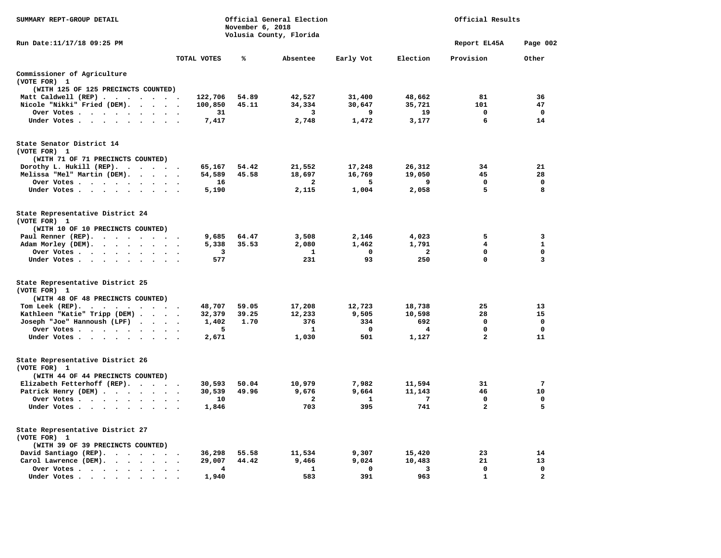| SUMMARY REPT-GROUP DETAIL                        |               | November 6, 2018 | Official General Election<br>Volusia County, Florida |                 |                         | Official Results  |                             |
|--------------------------------------------------|---------------|------------------|------------------------------------------------------|-----------------|-------------------------|-------------------|-----------------------------|
| Run Date: 11/17/18 09:25 PM                      |               |                  |                                                      |                 |                         | Report EL45A      | Page 002                    |
|                                                  | TOTAL VOTES   | ℁                | Absentee                                             | Early Vot       | Election                | Provision         | Other                       |
| Commissioner of Agriculture<br>(VOTE FOR) 1      |               |                  |                                                      |                 |                         |                   |                             |
| (WITH 125 OF 125 PRECINCTS COUNTED)              |               |                  |                                                      |                 |                         |                   |                             |
| Matt Caldwell (REP)                              | 122,706       | 54.89            | 42,527                                               | 31,400          | 48,662                  | 81<br>101         | 36                          |
| Nicole "Nikki" Fried (DEM).                      | 100,850<br>31 | 45.11            | 34,334<br>$\overline{\mathbf{3}}$                    | 30,647<br>9     | 35,721<br>19            | $\mathbf 0$       | 47<br>$\mathbf 0$           |
| Over Votes<br>Under Votes                        | 7,417         |                  | 2,748                                                | 1,472           | 3,177                   | 6                 | 14                          |
| State Senator District 14                        |               |                  |                                                      |                 |                         |                   |                             |
| (VOTE FOR) 1                                     |               |                  |                                                      |                 |                         |                   |                             |
| (WITH 71 OF 71 PRECINCTS COUNTED)                |               |                  |                                                      |                 |                         |                   |                             |
| Dorothy L. Hukill (REP).                         | 65,167        | 54.42            | 21,552                                               | 17,248          | 26,312                  | 34                | 21                          |
| Melissa "Mel" Martin (DEM).                      | 54,589        | 45.58            | 18,697                                               | 16,769          | 19,050                  | 45                | 28                          |
| Over Votes                                       | 16            |                  | $\overline{a}$                                       | 5               | 9                       | $\mathbf 0$       | $\mathbf 0$                 |
| Under Votes                                      | 5,190         |                  | 2,115                                                | 1,004           | 2,058                   | 5                 | 8                           |
|                                                  |               |                  |                                                      |                 |                         |                   |                             |
| State Representative District 24<br>(VOTE FOR) 1 |               |                  |                                                      |                 |                         |                   |                             |
| (WITH 10 OF 10 PRECINCTS COUNTED)                |               |                  |                                                      |                 |                         |                   |                             |
| Paul Renner (REP).                               | 9,685         | 64.47            | 3,508                                                | 2,146           | 4,023                   | 5                 | 3                           |
| Adam Morley (DEM).                               | 5,338         | 35.53            | 2,080                                                | 1,462           | 1,791                   | 4                 | $\mathbf{1}$                |
| Over Votes.                                      | 3             |                  | 1                                                    | $\mathbf 0$     | $\overline{\mathbf{2}}$ | 0                 | 0                           |
| Under Votes                                      | 577           |                  | 231                                                  | 93              | 250                     | $\mathbf{0}$      | 3                           |
| State Representative District 25                 |               |                  |                                                      |                 |                         |                   |                             |
| (VOTE FOR) 1                                     |               |                  |                                                      |                 |                         |                   |                             |
| (WITH 48 OF 48 PRECINCTS COUNTED)                |               |                  |                                                      |                 |                         |                   |                             |
| Tom Leek $(REP)$ .                               | 48,707        | 59.05            | 17,208                                               | 12,723          | 18,738                  | 25                | 13                          |
| Kathleen "Katie" Tripp (DEM)                     | 32,379        | 39.25            | 12,233                                               | 9,505           | 10,598                  | 28                | 15                          |
| Joseph "Joe" Hannoush (LPF)                      | 1,402         | 1.70             | 376                                                  | 334             | 692                     | 0<br>$\mathbf{0}$ | $\mathbf 0$<br>$\mathbf{0}$ |
| Over Votes                                       | 5             |                  | 1                                                    | $\Omega$<br>501 | $\overline{4}$          | $\overline{a}$    | 11                          |
| Under Votes                                      | 2,671         |                  | 1,030                                                |                 | 1,127                   |                   |                             |
| State Representative District 26<br>(VOTE FOR) 1 |               |                  |                                                      |                 |                         |                   |                             |
| (WITH 44 OF 44 PRECINCTS COUNTED)                |               |                  |                                                      |                 |                         |                   |                             |
| Elizabeth Fetterhoff (REP).                      | 30,593        | 50.04            | 10,979                                               | 7,982           | 11,594                  | 31                | 7                           |
| Patrick Henry (DEM)                              | 30,539        | 49.96            | 9,676                                                | 9,664           | 11,143                  | 46                | 10                          |
| Over Votes                                       | 10            |                  | $\overline{\phantom{a}}$                             | $\mathbf{1}$    | -7                      | $^{\circ}$        | 0                           |
| Under Votes                                      | 1,846         |                  | 703                                                  | 395             | 741                     | $\overline{a}$    | 5                           |
| State Representative District 27                 |               |                  |                                                      |                 |                         |                   |                             |
| (VOTE FOR) 1                                     |               |                  |                                                      |                 |                         |                   |                             |
| (WITH 39 OF 39 PRECINCTS COUNTED)                |               |                  |                                                      |                 |                         |                   |                             |
| David Santiago (REP).                            | 36,298        | 55.58            | 11,534                                               | 9,307           | 15,420                  | 23                | 14                          |
| Carol Lawrence (DEM).                            | 29,007        | 44.42            | 9,466                                                | 9,024           | 10,483                  | 21                | 13                          |
| Over Votes                                       | 4             |                  | 1                                                    | 0               | 3                       | $\mathbf 0$       | $\mathbf 0$                 |
| Under Votes<br>$\ddot{\phantom{a}}$              | 1,940         |                  | 583                                                  | 391             | 963                     | $\mathbf{1}$      | $\mathbf{2}$                |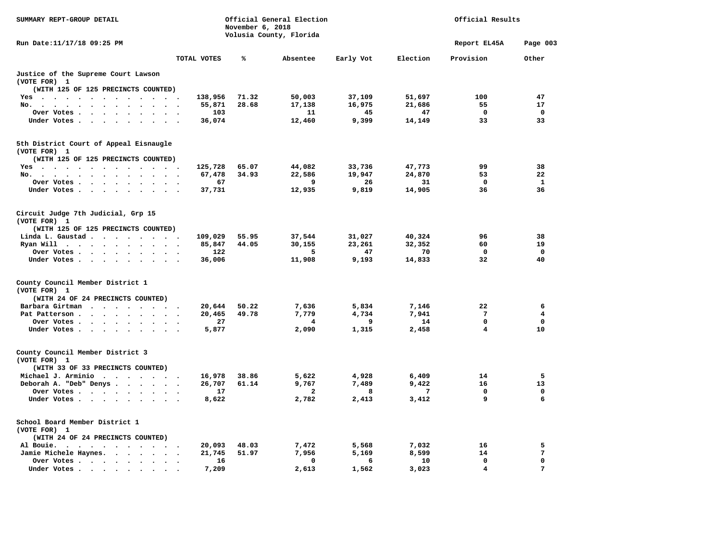| SUMMARY REPT-GROUP DETAIL                                                                                                                                                                                                                      |                                    | November 6, 2018 | Official General Election<br>Volusia County, Florida |           |          | Official Results |              |
|------------------------------------------------------------------------------------------------------------------------------------------------------------------------------------------------------------------------------------------------|------------------------------------|------------------|------------------------------------------------------|-----------|----------|------------------|--------------|
| Run Date:11/17/18 09:25 PM                                                                                                                                                                                                                     |                                    |                  |                                                      |           |          | Report EL45A     | Page 003     |
|                                                                                                                                                                                                                                                | TOTAL VOTES                        | ℁                | Absentee                                             | Early Vot | Election | Provision        | Other        |
| Justice of the Supreme Court Lawson<br>(VOTE FOR) 1                                                                                                                                                                                            |                                    |                  |                                                      |           |          |                  |              |
| (WITH 125 OF 125 PRECINCTS COUNTED)                                                                                                                                                                                                            |                                    |                  |                                                      |           |          |                  |              |
| Yes                                                                                                                                                                                                                                            | 138,956                            | 71.32            | 50,003                                               | 37,109    | 51,697   | 100              | 47           |
| No.<br>$\cdot$ $\cdot$ $\cdot$<br>$\sim 10^{-1}$<br>$\sim 10^{-1}$                                                                                                                                                                             | 55,871                             | 28.68            | 17,138                                               | 16,975    | 21,686   | 55               | 17           |
| Over Votes<br>$\sim$                                                                                                                                                                                                                           | 103                                |                  | 11                                                   | 45        | 47       | 0                | $\mathbf 0$  |
| Under Votes                                                                                                                                                                                                                                    | 36,074                             |                  | 12,460                                               | 9,399     | 14,149   | 33               | 33           |
| 5th District Court of Appeal Eisnaugle<br>(VOTE FOR) 1                                                                                                                                                                                         |                                    |                  |                                                      |           |          |                  |              |
| (WITH 125 OF 125 PRECINCTS COUNTED)                                                                                                                                                                                                            |                                    |                  |                                                      |           |          |                  |              |
|                                                                                                                                                                                                                                                | 125,728                            | 65.07            | 44,082                                               | 33,736    | 47,773   | 99               | 38           |
| Yes                                                                                                                                                                                                                                            |                                    |                  |                                                      |           |          | 53               | 22           |
| No.                                                                                                                                                                                                                                            | 67,478                             | 34.93            | 22,586                                               | 19,947    | 24,870   |                  |              |
| Over Votes<br>$\bullet$                                                                                                                                                                                                                        | 67                                 |                  | 9                                                    | 26        | 31       | $\mathbf 0$      | $\mathbf{1}$ |
| Under Votes.                                                                                                                                                                                                                                   | 37,731                             |                  | 12,935                                               | 9,819     | 14,905   | 36               | 36           |
| Circuit Judge 7th Judicial, Grp 15<br>(VOTE FOR) 1                                                                                                                                                                                             |                                    |                  |                                                      |           |          |                  |              |
| (WITH 125 OF 125 PRECINCTS COUNTED)                                                                                                                                                                                                            |                                    |                  |                                                      |           |          |                  |              |
| Linda L. Gaustad                                                                                                                                                                                                                               | 109,029                            | 55.95            | 37,544                                               | 31,027    | 40,324   | 96               | 38           |
| Ryan Will $\cdots$ $\cdots$ $\cdots$                                                                                                                                                                                                           | 85,847                             | 44.05            | 30,155                                               | 23,261    | 32,352   | 60               | 19           |
| Over Votes<br>$\sim$ $\sim$ $\sim$                                                                                                                                                                                                             | 122                                |                  | 5                                                    | 47        | 70       | $\mathbf 0$      | $\mathbf 0$  |
| Under Votes                                                                                                                                                                                                                                    | 36,006                             |                  | 11,908                                               | 9,193     | 14,833   | 32               | 40           |
| County Council Member District 1<br>(VOTE FOR) 1                                                                                                                                                                                               |                                    |                  |                                                      |           |          |                  |              |
| (WITH 24 OF 24 PRECINCTS COUNTED)                                                                                                                                                                                                              |                                    |                  |                                                      |           |          |                  |              |
| Barbara Girtman                                                                                                                                                                                                                                | 20,644                             | 50.22            | 7,636                                                | 5,834     | 7,146    | 22               | 6            |
| Pat Patterson                                                                                                                                                                                                                                  | 20,465                             | 49.78            | 7,779                                                | 4,734     | 7,941    | 7                | 4            |
| Over Votes.                                                                                                                                                                                                                                    | 27                                 |                  | 4                                                    | 9         | 14       | $\mathbf{0}$     | $\mathbf{0}$ |
| Under Votes                                                                                                                                                                                                                                    | 5,877                              |                  | 2,090                                                | 1,315     | 2,458    | 4                | 10           |
| County Council Member District 3<br>(VOTE FOR) 1                                                                                                                                                                                               |                                    |                  |                                                      |           |          |                  |              |
| (WITH 33 OF 33 PRECINCTS COUNTED)                                                                                                                                                                                                              |                                    |                  |                                                      |           |          |                  |              |
| Michael J. Arminio                                                                                                                                                                                                                             | 16,978                             | 38.86            | 5,622                                                | 4,928     | 6,409    | 14               | 5            |
| Deborah A. "Deb" Denys                                                                                                                                                                                                                         | 26,707<br>$\overline{\phantom{a}}$ | 61.14            | 9,767                                                | 7,489     | 9,422    | 16               | 13           |
| Over Votes.                                                                                                                                                                                                                                    | 17                                 |                  | 2                                                    | 8         | 7        | $\mathbf 0$      | $\mathbf 0$  |
| Under Votes                                                                                                                                                                                                                                    | 8,622                              |                  | 2,782                                                | 2,413     | 3,412    | 9                | 6            |
| School Board Member District 1<br>(VOTE FOR) 1<br>(WITH 24 OF 24 PRECINCTS COUNTED)                                                                                                                                                            |                                    |                  |                                                      |           |          |                  |              |
| $\mathbf{r}$ . The set of the set of the set of the set of the set of the set of the set of the set of the set of the set of the set of the set of the set of the set of the set of the set of the set of the set of the set of t<br>Al Bouie. | 20,093                             | 48.03            | 7,472                                                | 5,568     | 7,032    | 16               | 5            |
| Jamie Michele Haynes.                                                                                                                                                                                                                          | 21,745                             | 51.97            | 7,956                                                | 5,169     | 8,599    | 14               | 7            |
| Over Votes<br>$\bullet$                                                                                                                                                                                                                        | 16<br>$\cdot$                      |                  | $\mathbf 0$                                          | 6         | 10       | $\mathbf 0$      | $\mathbf 0$  |
| Under Votes.<br>$\bullet$ . In the case of the contract $\bullet$<br>$\bullet$                                                                                                                                                                 | 7,209                              |                  | 2,613                                                | 1,562     | 3,023    | $\overline{4}$   | 7            |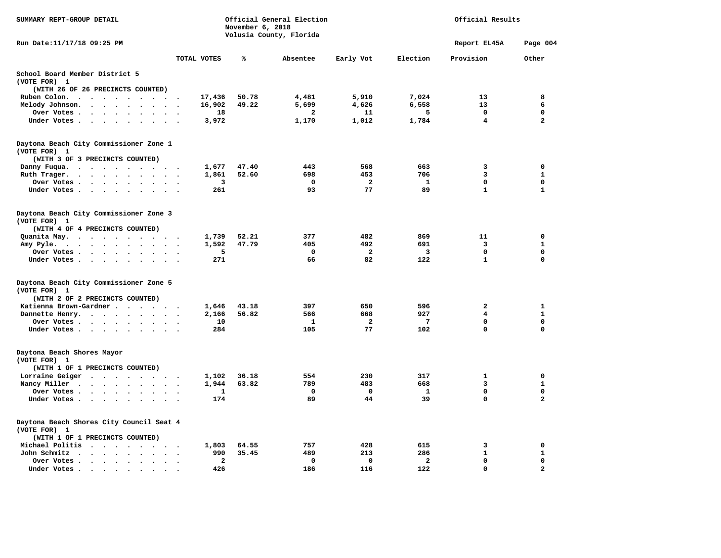| SUMMARY REPT-GROUP DETAIL                                                                 |                                    | November 6, 2018 | Official General Election |                         |                         | Official Results        |                |
|-------------------------------------------------------------------------------------------|------------------------------------|------------------|---------------------------|-------------------------|-------------------------|-------------------------|----------------|
| Run Date:11/17/18 09:25 PM                                                                |                                    |                  | Volusia County, Florida   |                         |                         | Report EL45A            | Page 004       |
|                                                                                           | TOTAL VOTES                        | ℁                | Absentee                  | Early Vot               | Election                | Provision               | Other          |
| School Board Member District 5                                                            |                                    |                  |                           |                         |                         |                         |                |
| (VOTE FOR) 1<br>(WITH 26 OF 26 PRECINCTS COUNTED)                                         |                                    |                  |                           |                         |                         |                         |                |
| Ruben Colon.                                                                              | 17,436                             | 50.78            | 4,481                     | 5,910                   | 7,024                   | 13                      | 8              |
| Melody Johnson.                                                                           | 16,902                             | 49.22            | 5,699                     | 4,626                   | 6,558                   | 13                      | 6              |
| Over Votes                                                                                | 18                                 |                  | 2                         | 11                      | 5                       | 0                       | 0              |
| Under Votes                                                                               | 3,972                              |                  | 1,170                     | 1,012                   | 1,784                   | $\overline{\mathbf{4}}$ | $\overline{a}$ |
|                                                                                           |                                    |                  |                           |                         |                         |                         |                |
| Daytona Beach City Commissioner Zone 1<br>(VOTE FOR) 1                                    |                                    |                  |                           |                         |                         |                         |                |
| (WITH 3 OF 3 PRECINCTS COUNTED)                                                           |                                    |                  |                           |                         |                         |                         |                |
| Danny Fuqua.                                                                              | 1,677                              | 47.40            | 443                       | 568                     | 663                     | 3                       | 0              |
| Ruth Trager.                                                                              | 1,861                              | 52.60            | 698                       | 453                     | 706                     | 3                       | $\mathbf{1}$   |
| Over Votes                                                                                | 3                                  |                  | $\mathbf 0$               | $\mathbf{2}$            | 1                       | 0                       | 0              |
| Under Votes                                                                               | 261                                |                  | 93                        | 77                      | 89                      | $\mathbf{1}$            | $\mathbf{1}$   |
| Daytona Beach City Commissioner Zone 3<br>(VOTE FOR) 1                                    |                                    |                  |                           |                         |                         |                         |                |
| (WITH 4 OF 4 PRECINCTS COUNTED)                                                           |                                    |                  |                           |                         |                         |                         |                |
| Quanita May.                                                                              | 1,739<br>$\cdot$                   | 52.21            | 377                       | 482                     | 869                     | 11                      | 0              |
| Amy Pyle.                                                                                 | 1,592                              | 47.79            | 405                       | 492                     | 691                     | 3                       | $\mathbf{1}$   |
| Over Votes                                                                                | 5                                  |                  | 0                         | $\overline{\mathbf{2}}$ | $\overline{\mathbf{3}}$ | 0                       | 0              |
| Under Votes                                                                               | 271                                |                  | 66                        | 82                      | 122                     | $\mathbf{1}$            | $\mathbf 0$    |
| Daytona Beach City Commissioner Zone 5<br>(VOTE FOR) 1<br>(WITH 2 OF 2 PRECINCTS COUNTED) |                                    |                  |                           |                         |                         |                         |                |
| Katienna Brown-Gardner                                                                    | 1,646                              | 43.18            | 397                       | 650                     | 596                     | 2                       | $\mathbf{1}$   |
| Dannette Henry.                                                                           | 2,166                              | 56.82            | 566                       | 668                     | 927                     | 4                       | 1              |
| Over Votes                                                                                | 10                                 |                  | 1                         | $\overline{\mathbf{2}}$ | 7                       | 0                       | $\mathbf 0$    |
| Under Votes                                                                               | 284                                |                  | 105                       | 77                      | 102                     | 0                       | 0              |
| Daytona Beach Shores Mayor                                                                |                                    |                  |                           |                         |                         |                         |                |
| (VOTE FOR) 1                                                                              |                                    |                  |                           |                         |                         |                         |                |
| (WITH 1 OF 1 PRECINCTS COUNTED)                                                           |                                    |                  |                           |                         |                         |                         |                |
| Lorraine Geiger                                                                           | 1,102                              | 36.18            | 554                       | 230                     | 317                     | 1                       | 0              |
| Nancy Miller                                                                              | 1,944                              | 63.82            | 789                       | 483                     | 668                     | 3                       | $\mathbf{1}$   |
| Over Votes                                                                                | 1                                  |                  | $\mathbf 0$               | $\mathbf 0$             | $\mathbf{1}$            | 0                       | $\mathbf 0$    |
| Under Votes                                                                               | 174                                |                  | 89                        | 44                      | 39                      | 0                       | $\overline{a}$ |
|                                                                                           |                                    |                  |                           |                         |                         |                         |                |
| Daytona Beach Shores City Council Seat 4<br>(VOTE FOR) 1                                  |                                    |                  |                           |                         |                         |                         |                |
| (WITH 1 OF 1 PRECINCTS COUNTED)                                                           |                                    |                  |                           |                         |                         |                         |                |
| Michael Politis                                                                           | 1,803                              | 64.55            | 757                       | 428                     | 615                     | 3                       | 0              |
| John Schmitz                                                                              | 990                                | 35.45            | 489                       | 213                     | 286                     | $\mathbf{1}$            | $\mathbf{1}$   |
| Over Votes                                                                                | $\overline{\mathbf{2}}$<br>$\cdot$ |                  | 0                         | 0                       | $\overline{a}$          | 0                       | 0              |
| Under Votes<br>$\blacksquare$                                                             | 426                                |                  | 186                       | 116                     | 122                     | $\Omega$                | $\overline{a}$ |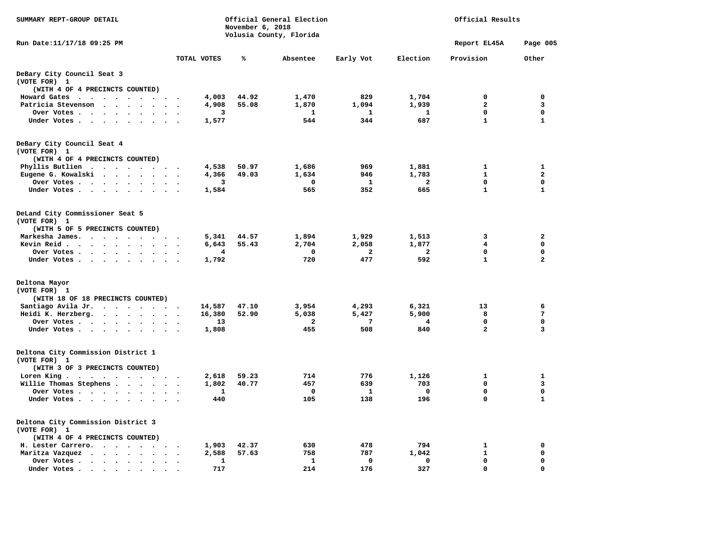| SUMMARY REPT-GROUP DETAIL                                                                                                                    |                        | November 6, 2018 | Official General Election<br>Volusia County, Florida |              |              | Official Results        |                         |
|----------------------------------------------------------------------------------------------------------------------------------------------|------------------------|------------------|------------------------------------------------------|--------------|--------------|-------------------------|-------------------------|
| Run Date:11/17/18 09:25 PM                                                                                                                   |                        |                  |                                                      |              |              | Report EL45A            | Page 005                |
|                                                                                                                                              | TOTAL VOTES            | ℁                | Absentee                                             | Early Vot    | Election     | Provision               | Other                   |
| DeBary City Council Seat 3<br>(VOTE FOR) 1                                                                                                   |                        |                  |                                                      |              |              |                         |                         |
| (WITH 4 OF 4 PRECINCTS COUNTED)                                                                                                              |                        |                  |                                                      |              |              |                         |                         |
| Howard Gates                                                                                                                                 | 4,003                  | 44.92            | 1,470                                                | 829          | 1,704        | 0                       | $\mathbf 0$             |
| Patricia Stevenson<br>$\sim$                                                                                                                 | 4,908                  | 55.08            | 1,870                                                | 1,094        | 1,939        | $\overline{a}$          | 3                       |
| Over Votes                                                                                                                                   | 3<br>$\cdot$ .         |                  | $\mathbf{1}$                                         | <b>1</b>     | $\mathbf{1}$ | 0                       | $\mathbf 0$             |
| Under Votes                                                                                                                                  | 1,577                  |                  | 544                                                  | 344          | 687          | $\mathbf{1}$            | $\mathbf{1}$            |
| DeBary City Council Seat 4<br>(VOTE FOR) 1                                                                                                   |                        |                  |                                                      |              |              |                         |                         |
| (WITH 4 OF 4 PRECINCTS COUNTED)                                                                                                              |                        |                  |                                                      |              |              |                         |                         |
| Phyllis Butlien                                                                                                                              | 4,538                  | 50.97            | 1,686                                                | 969          | 1,881        | $\mathbf{1}$            | $\mathbf{1}$            |
| Eugene G. Kowalski                                                                                                                           | 4,366                  | 49.03            | 1,634                                                | 946          | 1,783        | 1                       | $\overline{\mathbf{2}}$ |
| Over Votes<br>$\bullet$                                                                                                                      | 3                      |                  | $\Omega$                                             | 1            | $\mathbf{2}$ | 0                       | 0                       |
| Under Votes                                                                                                                                  | 1,584<br>$\cdot$ .     |                  | 565                                                  | 352          | 665          | $\mathbf{1}$            | $\mathbf{1}$            |
| DeLand City Commissioner Seat 5<br>(VOTE FOR) 1                                                                                              |                        |                  |                                                      |              |              |                         |                         |
| (WITH 5 OF 5 PRECINCTS COUNTED)                                                                                                              |                        |                  |                                                      |              |              |                         |                         |
| Markesha James.                                                                                                                              | 5,341                  | 44.57            | 1,894                                                | 1,929        | 1,513        | 3                       | $\mathbf{2}$            |
| Kevin Reid                                                                                                                                   | 6,643                  | 55.43            | 2,704                                                | 2,058        | 1,877        | 4                       | $\mathbf 0$             |
| Over Votes.<br>$\cdot$ $\cdot$ $\cdot$ $\cdot$<br>$\ddot{\phantom{0}}$                                                                       | 4                      |                  | 0                                                    | $\mathbf{2}$ | $\mathbf{2}$ | 0                       | 0                       |
| Under Votes                                                                                                                                  | 1,792<br>$\sim$ $\sim$ |                  | 720                                                  | 477          | 592          | $\mathbf{1}$            | $\overline{a}$          |
| Deltona Mayor<br>(VOTE FOR) 1                                                                                                                |                        |                  |                                                      |              |              |                         |                         |
| (WITH 18 OF 18 PRECINCTS COUNTED)                                                                                                            |                        |                  |                                                      |              |              |                         |                         |
| Santiago Avila Jr.                                                                                                                           | 14,587                 | 47.10            | 3,954                                                | 4,293        | 6,321        | 13                      | 6                       |
| Heidi K. Herzberg.                                                                                                                           | 16,380                 | 52.90            | 5,038                                                | 5,427        | 5,900        | 8                       | 7                       |
| Over Votes<br>$\sim$ $\sim$                                                                                                                  | 13                     |                  | $\overline{\mathbf{2}}$                              | 7            | 4            | 0                       | $\mathbf 0$             |
| Under Votes                                                                                                                                  | 1,808                  |                  | 455                                                  | 508          | 840          | $\overline{\mathbf{2}}$ | 3                       |
| Deltona City Commission District 1<br>(VOTE FOR) 1<br>(WITH 3 OF 3 PRECINCTS COUNTED)                                                        |                        |                  |                                                      |              |              |                         |                         |
| Loren King                                                                                                                                   | 2,618                  | 59.23            | 714                                                  | 776          | 1,126        | 1                       | 1                       |
| Willie Thomas Stephens                                                                                                                       | 1,802                  | 40.77            | 457                                                  | 639          | 703          | 0                       | 3                       |
| Over Votes                                                                                                                                   | 1                      |                  | 0                                                    | 1            | 0            | 0                       | 0                       |
| Under Votes                                                                                                                                  | 440                    |                  | 105                                                  | 138          | 196          | 0                       | $\mathbf{1}$            |
| Deltona City Commission District 3<br>(VOTE FOR) 1<br>(WITH 4 OF 4 PRECINCTS COUNTED)                                                        |                        |                  |                                                      |              |              |                         |                         |
| H. Lester Carrero.<br>$\sim$ $\sim$                                                                                                          | 1,903                  | 42.37            | 630                                                  | 478          | 794          | 1                       | $\mathbf 0$             |
| Maritza Vazquez<br>$\cdot$ $\cdot$ $\cdot$ $\cdot$<br>$\ddot{\phantom{a}}$                                                                   | 2,588                  | 57.63            | 758                                                  | 787          | 1,042        | 1                       | $\mathbf 0$             |
| Over Votes .<br>$\cdot$<br>$\sim$                                                                                                            | 1<br>$\cdot$           |                  | $\mathbf{1}$                                         | $\mathbf 0$  | 0            | 0                       | $\mathbf 0$             |
| Under Votes.<br>the contract of the contract of the contract of the contract of the contract of the contract of the contract of<br>$\bullet$ | 717                    |                  | 214                                                  | 176          | 327          | 0                       | 0                       |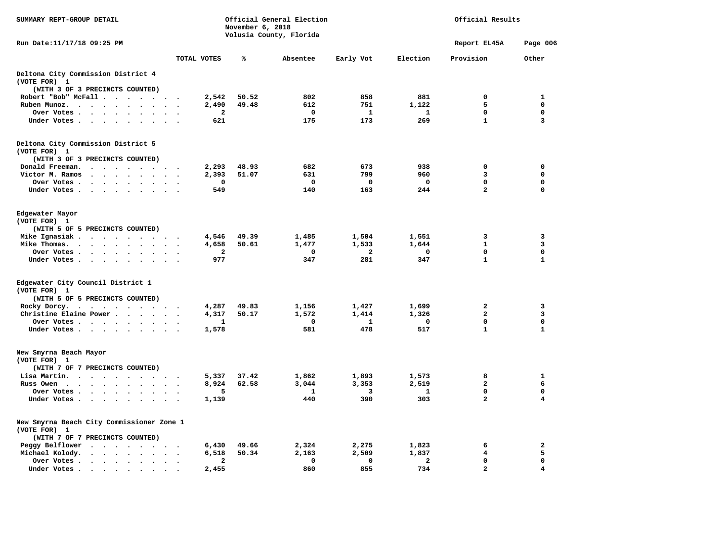| SUMMARY REPT-GROUP DETAIL                                                                                                    |                 | November 6, 2018 | Official General Election<br>Volusia County, Florida |                         |                | Official Results        |                         |
|------------------------------------------------------------------------------------------------------------------------------|-----------------|------------------|------------------------------------------------------|-------------------------|----------------|-------------------------|-------------------------|
| Run Date:11/17/18 09:25 PM                                                                                                   |                 |                  |                                                      |                         |                | Report EL45A            | Page 006                |
|                                                                                                                              | TOTAL VOTES     | ℁                | Absentee                                             | Early Vot               | Election       | Provision               | Other                   |
| Deltona City Commission District 4                                                                                           |                 |                  |                                                      |                         |                |                         |                         |
| (VOTE FOR) 1                                                                                                                 |                 |                  |                                                      |                         |                |                         |                         |
| (WITH 3 OF 3 PRECINCTS COUNTED)                                                                                              |                 |                  |                                                      |                         |                |                         |                         |
| Robert "Bob" McFall                                                                                                          | 2,542           | 50.52            | 802                                                  | 858                     | 881            | 0                       | 1                       |
| Ruben Munoz.                                                                                                                 | 2,490           | 49.48            | 612                                                  | 751                     | 1,122          | 5                       | $\mathbf 0$             |
| Over Votes                                                                                                                   | 2<br>$\sim$     |                  | $\mathbf{o}$                                         | -1                      | 1              | 0                       | $\mathbf 0$             |
| Under Votes                                                                                                                  | 621             |                  | 175                                                  | 173                     | 269            | $\mathbf{1}$            | 3                       |
| Deltona City Commission District 5                                                                                           |                 |                  |                                                      |                         |                |                         |                         |
| (VOTE FOR) 1                                                                                                                 |                 |                  |                                                      |                         |                |                         |                         |
| (WITH 3 OF 3 PRECINCTS COUNTED)                                                                                              |                 |                  |                                                      |                         |                |                         |                         |
| Donald Freeman.<br>.                                                                                                         | 2,293           | 48.93            | 682                                                  | 673                     | 938            | 0                       | $\mathbf 0$             |
| Victor M. Ramos<br>$\cdots$                                                                                                  | 2,393           | 51.07            | 631                                                  | 799                     | 960            | 3                       | $\mathbf 0$             |
| Over Votes<br>$\bullet$<br>$\sim$                                                                                            | 0               |                  | $\Omega$                                             | $\mathbf 0$             | $^{\circ}$     | $\mathbf 0$             | $\mathbf 0$             |
| Under Votes                                                                                                                  | 549             |                  | 140                                                  | 163                     | 244            | $\overline{\mathbf{2}}$ | $\mathbf 0$             |
|                                                                                                                              |                 |                  |                                                      |                         |                |                         |                         |
| Edgewater Mayor                                                                                                              |                 |                  |                                                      |                         |                |                         |                         |
| (VOTE FOR) 1                                                                                                                 |                 |                  |                                                      |                         |                |                         |                         |
| (WITH 5 OF 5 PRECINCTS COUNTED)                                                                                              |                 |                  |                                                      |                         |                |                         |                         |
| Mike Ignasiak                                                                                                                | 4,546           | 49.39            | 1,485                                                | 1,504                   | 1,551          | 3                       | 3                       |
| Mike Thomas.                                                                                                                 | 4,658           | 50.61            | 1,477                                                | 1,533                   | 1,644          | $\mathbf{1}$            | 3                       |
| Over Votes<br>$\cdot$ $\cdot$                                                                                                | $\mathbf{2}$    |                  | 0                                                    | $\overline{\mathbf{2}}$ | 0              | $\mathbf 0$             | $\mathbf 0$             |
| Under Votes                                                                                                                  | 977             |                  | 347                                                  | 281                     | 347            | $\mathbf{1}$            | $\mathbf{1}$            |
| Edgewater City Council District 1                                                                                            |                 |                  |                                                      |                         |                |                         |                         |
| (VOTE FOR) 1                                                                                                                 |                 |                  |                                                      |                         |                |                         |                         |
| (WITH 5 OF 5 PRECINCTS COUNTED)                                                                                              |                 |                  |                                                      |                         |                |                         |                         |
| Rocky Dorcy.                                                                                                                 | 4,287           | 49.83            | 1,156                                                | 1,427                   | 1,699          | $\mathbf{2}$            | 3                       |
| Christine Elaine Power                                                                                                       | 4,317           | 50.17            | 1,572                                                | 1,414                   | 1,326          | $\overline{a}$          | 3                       |
|                                                                                                                              |                 |                  | 0                                                    | 1                       | 0              | 0                       | 0                       |
| Over Votes                                                                                                                   | 1               |                  | 581                                                  |                         |                | $\mathbf{1}$            | $\mathbf{1}$            |
| Under Votes                                                                                                                  | 1,578           |                  |                                                      | 478                     | 517            |                         |                         |
| New Smyrna Beach Mayor                                                                                                       |                 |                  |                                                      |                         |                |                         |                         |
| (VOTE FOR) 1                                                                                                                 |                 |                  |                                                      |                         |                |                         |                         |
| (WITH 7 OF 7 PRECINCTS COUNTED)                                                                                              |                 |                  |                                                      |                         |                |                         |                         |
| Lisa Martin.                                                                                                                 | 5,337           | 37.42            | 1,862                                                | 1,893                   | 1,573          | 8                       | 1                       |
| Russ Owen<br>$\mathbf{r}$ , $\mathbf{r}$ , $\mathbf{r}$ , $\mathbf{r}$ , $\mathbf{r}$ , $\mathbf{r}$<br>$\ddot{\phantom{1}}$ | 8,924<br>$\sim$ | 62.58            | 3,044                                                | 3,353                   | 2,519          | $\overline{\mathbf{2}}$ | 6                       |
| Over Votes<br>$\sim$                                                                                                         | 5               |                  | 1                                                    | 3                       | 1              | $\mathbf 0$             | $\mathbf 0$             |
| Under Votes                                                                                                                  | 1,139           |                  | 440                                                  | 390                     | 303            | $\overline{\mathbf{2}}$ | $\overline{\mathbf{4}}$ |
|                                                                                                                              |                 |                  |                                                      |                         |                |                         |                         |
| New Smyrna Beach City Commissioner Zone 1<br>(VOTE FOR) 1                                                                    |                 |                  |                                                      |                         |                |                         |                         |
| (WITH 7 OF 7 PRECINCTS COUNTED)                                                                                              |                 |                  |                                                      |                         |                |                         |                         |
| Peggy Belflower<br>$\cdots$                                                                                                  | 6,430           | 49.66            | 2,324                                                | 2,275                   | 1,823          | 6                       | 2                       |
| $\sim$ $\sim$                                                                                                                |                 |                  |                                                      |                         |                | $\overline{\mathbf{4}}$ | 5                       |
| Michael Kolody.<br>$\cdots$                                                                                                  | 6,518           | 50.34            | 2,163                                                | 2,509                   | 1,837          | 0                       | $\mathbf 0$             |
| Over Votes.                                                                                                                  | $\mathbf{2}$    |                  | $\mathbf 0$                                          | $\mathbf 0$             | $\overline{a}$ |                         |                         |
| Under Votes                                                                                                                  | 2,455           |                  | 860                                                  | 855                     | 734            | $\overline{a}$          | 4                       |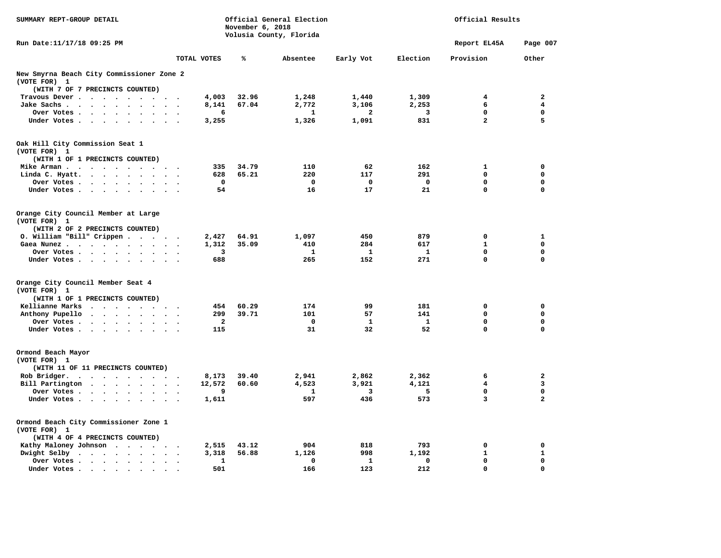| SUMMARY REPT-GROUP DETAIL                 |                      | November 6, 2018 | Official General Election<br>Volusia County, Florida |              |              | Official Results |                         |
|-------------------------------------------|----------------------|------------------|------------------------------------------------------|--------------|--------------|------------------|-------------------------|
| Run Date:11/17/18 09:25 PM                |                      |                  |                                                      |              |              | Report EL45A     | Page 007                |
|                                           | TOTAL VOTES          | %                | Absentee                                             | Early Vot    | Election     | Provision        | Other                   |
| New Smyrna Beach City Commissioner Zone 2 |                      |                  |                                                      |              |              |                  |                         |
| (VOTE FOR) 1                              |                      |                  |                                                      |              |              |                  |                         |
| (WITH 7 OF 7 PRECINCTS COUNTED)           |                      |                  |                                                      |              |              |                  | $\overline{\mathbf{2}}$ |
| Travous Dever                             | 4,003                | 32.96            | 1,248                                                | 1,440        | 1,309        | 4                |                         |
| Jake Sachs                                | 8,141                | 67.04            | 2,772                                                | 3,106        | 2,253        | 6<br>0           | 4<br>$\mathbf 0$        |
| Over Votes                                |                      | 6                | 1                                                    | 2            | 3<br>831     | $\overline{a}$   | 5                       |
| Under Votes<br>$\sim$                     | 3,255                |                  | 1,326                                                | 1,091        |              |                  |                         |
| Oak Hill City Commission Seat 1           |                      |                  |                                                      |              |              |                  |                         |
| (VOTE FOR) 1                              |                      |                  |                                                      |              |              |                  |                         |
| (WITH 1 OF 1 PRECINCTS COUNTED)           |                      |                  |                                                      |              |              |                  |                         |
| Mike Arman                                |                      | 335<br>34.79     | 110                                                  | 62           | 162          | $\mathbf{1}$     | $\mathbf 0$             |
| Linda C. Hyatt.                           |                      | 628<br>65.21     | 220                                                  | 117          | 291          | 0                | 0                       |
| Over Votes                                |                      | $^{\circ}$       | $^{\circ}$                                           | 0            | $\Omega$     | 0                | 0                       |
| Under Votes                               |                      | 54               | 16                                                   | 17           | 21           | $\mathbf 0$      | $\mathbf 0$             |
| Orange City Council Member at Large       |                      |                  |                                                      |              |              |                  |                         |
| (VOTE FOR) 1                              |                      |                  |                                                      |              |              |                  |                         |
| (WITH 2 OF 2 PRECINCTS COUNTED)           |                      |                  |                                                      |              |              |                  |                         |
| $0.$ William "Bill" Crippen               | 2,427                | 64.91            | 1,097                                                | 450          | 879          | 0                | 1                       |
| Gaea Nunez                                | 1,312                | 35.09            | 410                                                  | 284          | 617          | $\mathbf{1}$     | $\Omega$                |
| Over Votes                                |                      | 3                | 1                                                    | 1            | 1            | 0                | $\mathbf 0$             |
| Under Votes                               | $\sim$ $\sim$        | 688              | 265                                                  | 152          | 271          | 0                | $\mathbf 0$             |
| Orange City Council Member Seat 4         |                      |                  |                                                      |              |              |                  |                         |
| (VOTE FOR) 1                              |                      |                  |                                                      |              |              |                  |                         |
| (WITH 1 OF 1 PRECINCTS COUNTED)           |                      |                  |                                                      |              |              |                  |                         |
| Kellianne Marks                           |                      | 60.29<br>454     | 174                                                  | 99           | 181          | $\mathbf 0$      | $\mathbf 0$             |
| Anthony Pupello                           |                      | 299<br>39.71     | 101                                                  | 57           | 141          | 0                | 0                       |
| Over Votes<br>$\sim$                      |                      | $\mathbf{2}$     | 0                                                    | $\mathbf{1}$ | $\mathbf{1}$ | 0                | $\mathbf 0$             |
| Under Votes                               |                      | 115              | 31                                                   | 32           | 52           | $\mathbf 0$      | $\mathbf 0$             |
| Ormond Beach Mayor                        |                      |                  |                                                      |              |              |                  |                         |
| (VOTE FOR) 1                              |                      |                  |                                                      |              |              |                  |                         |
| (WITH 11 OF 11 PRECINCTS COUNTED)         |                      |                  |                                                      |              |              |                  |                         |
| Rob Bridger.<br>$\cdots$                  | 8,173                | 39.40            | 2,941                                                | 2,862        | 2,362        | 6                | $\mathbf{2}$            |
| Bill Partington                           | 12,572               | 60.60            | 4,523                                                | 3,921        | 4,121        | 4                | 3                       |
| Over Votes                                |                      | 9                | 1                                                    | 3            | 5            | 0                | 0                       |
| Under Votes                               | 1,611                |                  | 597                                                  | 436          | 573          | 3                | $\overline{a}$          |
| Ormond Beach City Commissioner Zone 1     |                      |                  |                                                      |              |              |                  |                         |
| (VOTE FOR) 1                              |                      |                  |                                                      |              |              |                  |                         |
| (WITH 4 OF 4 PRECINCTS COUNTED)           |                      |                  |                                                      |              |              |                  |                         |
| Kathy Maloney Johnson                     | 2,515                | 43.12            | 904                                                  | 818          | 793          | 0                | $\mathbf 0$             |
| Dwight Selby                              | 3,318                | 56.88            | 1,126                                                | 998          | 1,192        | 1                | $\mathbf{1}$            |
| Over Votes                                | $\ddot{\phantom{1}}$ | 1                | 0                                                    | 1            | $\mathbf 0$  | 0                | $\mathbf 0$             |
| Under Votes.<br>$\bullet$                 |                      | 501              | 166                                                  | 123          | 212          | $\mathbf{0}$     | 0                       |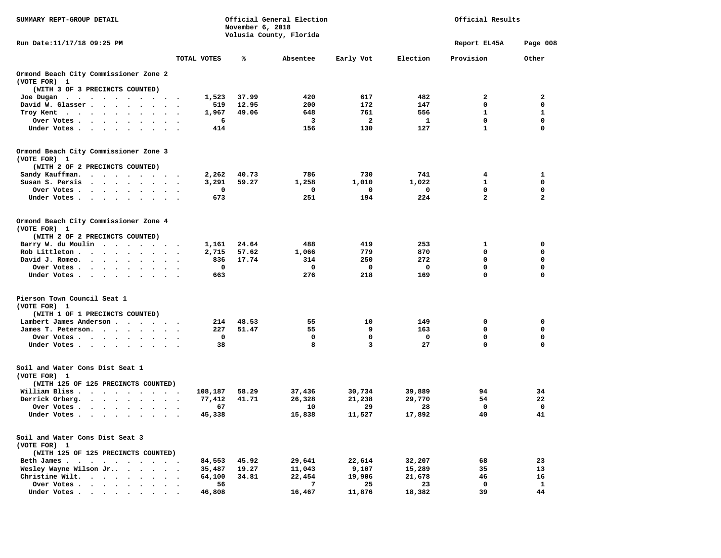| SUMMARY REPT-GROUP DETAIL                                                                                                                                                                                                                               |           |                  | November 6, 2018 | Official General Election |                         |                  | Official Results |              |
|---------------------------------------------------------------------------------------------------------------------------------------------------------------------------------------------------------------------------------------------------------|-----------|------------------|------------------|---------------------------|-------------------------|------------------|------------------|--------------|
| Run Date: 11/17/18 09:25 PM                                                                                                                                                                                                                             |           |                  |                  | Volusia County, Florida   |                         |                  | Report EL45A     | Page 008     |
|                                                                                                                                                                                                                                                         |           | TOTAL VOTES      | ℁                | Absentee                  | Early Vot               | Election         | Provision        | Other        |
| Ormond Beach City Commissioner Zone 2                                                                                                                                                                                                                   |           |                  |                  |                           |                         |                  |                  |              |
| (VOTE FOR) 1                                                                                                                                                                                                                                            |           |                  |                  |                           |                         |                  |                  |              |
| (WITH 3 OF 3 PRECINCTS COUNTED)                                                                                                                                                                                                                         |           |                  |                  |                           |                         |                  |                  |              |
| Joe Dugan<br>$\sim$ $\sim$<br>$\sim$                                                                                                                                                                                                                    |           | 1,523            | 37.99            | 420                       | 617                     | 482              | 2                | $\mathbf{2}$ |
| David W. Glasser<br>$\sim$                                                                                                                                                                                                                              |           | 519              | 12.95            | 200                       | 172                     | 147              | 0                | $\mathbf 0$  |
| Troy Kent<br>$\cdots$                                                                                                                                                                                                                                   |           | 1,967            | 49.06            | 648                       | 761                     | 556              | 1                | 1            |
| Over Votes<br>$\bullet$                                                                                                                                                                                                                                 |           | 6                |                  | 3                         | $\overline{\mathbf{2}}$ | 1                | 0                | $\mathbf 0$  |
| Under Votes<br>$\sim$                                                                                                                                                                                                                                   |           | 414              |                  | 156                       | 130                     | 127              | $\mathbf{1}$     | 0            |
| Ormond Beach City Commissioner Zone 3<br>(VOTE FOR) 1                                                                                                                                                                                                   |           |                  |                  |                           |                         |                  |                  |              |
| (WITH 2 OF 2 PRECINCTS COUNTED)                                                                                                                                                                                                                         |           |                  |                  |                           |                         |                  |                  |              |
| Sandy Kauffman.<br>.                                                                                                                                                                                                                                    |           | 2,262            | 40.73            | 786                       | 730                     | 741              | 4                | 1            |
| Susan S. Persis<br>$\cdot$                                                                                                                                                                                                                              |           | 3,291            | 59.27            | 1,258                     | 1,010                   | 1,022            | 1                | 0            |
| Over Votes .<br>$\cdots$                                                                                                                                                                                                                                |           | 0                |                  | 0                         | 0                       | 0                | 0                | 0            |
| Under Votes                                                                                                                                                                                                                                             |           | 673              |                  | 251                       | 194                     | 224              | $\overline{a}$   | $\mathbf{2}$ |
| Ormond Beach City Commissioner Zone 4<br>(VOTE FOR) 1                                                                                                                                                                                                   |           |                  |                  |                           |                         |                  |                  |              |
| (WITH 2 OF 2 PRECINCTS COUNTED)                                                                                                                                                                                                                         |           |                  |                  |                           |                         |                  |                  |              |
| Barry W. du Moulin<br>$\mathbf{r}$ . The set of the set of the set of the set of the set of the set of the set of the set of the set of the set of the set of the set of the set of the set of the set of the set of the set of the set of the set of t |           | 1,161            | 24.64            | 488                       | 419                     | 253              | 1                | 0            |
| Rob Littleton .                                                                                                                                                                                                                                         |           | 2,715            | 57.62            | 1,066                     | 779                     | 870              | 0                | 0            |
| David J. Romeo.<br>$\sim$<br>$\sim$ $\sim$<br>$\ddot{\phantom{1}}$                                                                                                                                                                                      |           | 836              | 17.74            | 314                       | 250                     | 272              | 0                | 0            |
| Over Votes .<br>$\cdot$ $\cdot$ $\cdot$ $\cdot$<br>$\cdot$                                                                                                                                                                                              |           | 0                |                  | 0                         | 0                       | 0                | 0                | $\mathbf 0$  |
| Under Votes.<br>$\sim$                                                                                                                                                                                                                                  |           | 663              |                  | 276                       | 218                     | 169              | $\mathbf 0$      | 0            |
| Pierson Town Council Seat 1<br>(VOTE FOR) 1                                                                                                                                                                                                             |           |                  |                  |                           |                         |                  |                  |              |
| (WITH 1 OF 1 PRECINCTS COUNTED)                                                                                                                                                                                                                         |           |                  |                  |                           |                         |                  |                  |              |
| Lambert James Anderson                                                                                                                                                                                                                                  |           | 214              | 48.53            | 55                        | 10                      | 149              | 0                | 0            |
| James T. Peterson.                                                                                                                                                                                                                                      |           | 227              | 51.47            | 55                        | 9                       | 163              | 0                | 0            |
| Over Votes<br>$\sim$ $\sim$                                                                                                                                                                                                                             |           | 0                |                  | 0                         | 0                       | 0                | 0                | 0            |
| Under Votes<br>$\sim$                                                                                                                                                                                                                                   |           | 38               |                  | 8                         | 3                       | 27               | $\mathbf 0$      | 0            |
| Soil and Water Cons Dist Seat 1<br>(VOTE FOR) 1                                                                                                                                                                                                         |           |                  |                  |                           |                         |                  |                  |              |
| (WITH 125 OF 125 PRECINCTS COUNTED)                                                                                                                                                                                                                     |           |                  |                  |                           |                         |                  |                  |              |
| William Bliss.<br>$\bullet$<br><b>Contract Contract Contract Contract</b><br>$\bullet$                                                                                                                                                                  |           | 108,187          | 58.29            | 37,436                    | 30,734                  | 39,889           | 94               | 34           |
| Derrick Orberg.<br>$\cdot$ $\cdot$ $\cdot$ $\cdot$ $\cdot$ $\cdot$ $\cdot$                                                                                                                                                                              | $\ddotsc$ | 77,412           | 41.71            | 26,328                    | 21,238                  | 29,770           | 54               | 22           |
| Over Votes .<br>$\ddot{\phantom{a}}$<br>$\sim$                                                                                                                                                                                                          |           | 67               |                  | 10                        | 29                      | 28               | 0                | 0            |
| Under Votes.<br>$\cdot$ $\cdot$ $\cdot$ $\cdot$<br>$\bullet$                                                                                                                                                                                            |           | 45,338           |                  | 15,838                    | 11,527                  | 17,892           | 40               | 41           |
| Soil and Water Cons Dist Seat 3                                                                                                                                                                                                                         |           |                  |                  |                           |                         |                  |                  |              |
| (VOTE FOR) 1<br>(WITH 125 OF 125 PRECINCTS COUNTED)                                                                                                                                                                                                     |           |                  |                  |                           |                         |                  |                  |              |
| Beth James.                                                                                                                                                                                                                                             |           |                  | 45.92            | 29,641                    | 22,614                  | 32,207           |                  | 23           |
| Wesley Wayne Wilson Jr                                                                                                                                                                                                                                  |           | 84,553           | 19.27            | 11,043                    | 9,107                   |                  | 68<br>35         | 13           |
| Christine Wilt.                                                                                                                                                                                                                                         |           | 35,487<br>64,100 | 34.81            | 22,454                    | 19,906                  | 15,289<br>21,678 | 46               | 16           |
| Over Votes                                                                                                                                                                                                                                              |           | 56               |                  | 7                         | 25                      | 23               | 0                | 1            |
| Under Votes                                                                                                                                                                                                                                             |           | 46,808           |                  | 16,467                    | 11,876                  | 18,382           | 39               | 44           |
|                                                                                                                                                                                                                                                         |           |                  |                  |                           |                         |                  |                  |              |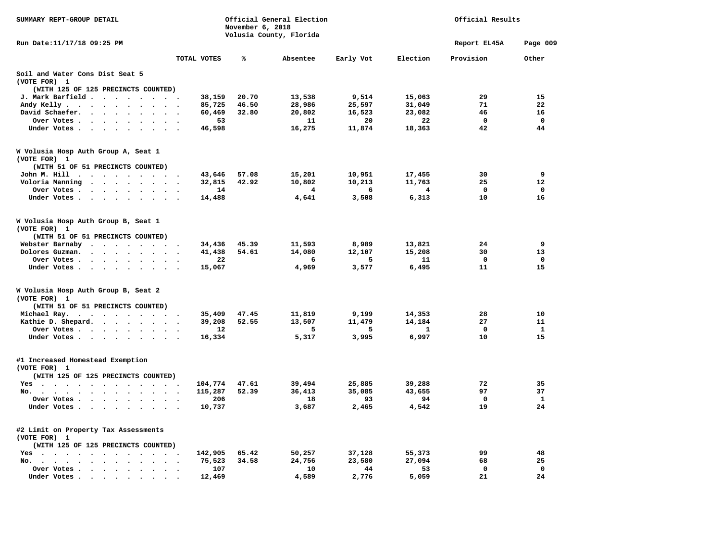| SUMMARY REPT-GROUP DETAIL                                                                                                                                          |                                    | November 6, 2018 | Official General Election<br>Volusia County, Florida |           |              | Official Results |              |
|--------------------------------------------------------------------------------------------------------------------------------------------------------------------|------------------------------------|------------------|------------------------------------------------------|-----------|--------------|------------------|--------------|
| Run Date: 11/17/18 09:25 PM                                                                                                                                        |                                    |                  |                                                      |           |              | Report EL45A     | Page 009     |
|                                                                                                                                                                    | TOTAL VOTES                        | ℁                | Absentee                                             | Early Vot | Election     | Provision        | Other        |
| Soil and Water Cons Dist Seat 5<br>(VOTE FOR) 1                                                                                                                    |                                    |                  |                                                      |           |              |                  |              |
| (WITH 125 OF 125 PRECINCTS COUNTED)                                                                                                                                |                                    |                  |                                                      |           |              |                  |              |
| J. Mark Barfield                                                                                                                                                   | 38,159                             | 20.70            | 13,538                                               | 9,514     | 15,063       | 29               | 15           |
| Andy Kelly<br>$\sim$<br>$\cdot$                                                                                                                                    | 85,725                             | 46.50            | 28,986                                               | 25,597    | 31,049       | 71               | 22           |
| David Schaefer. .<br>$\sim$ $\sim$<br>$\sim$                                                                                                                       | 60,469                             | 32.80            | 20,802                                               | 16,523    | 23,082       | 46               | 16           |
| Over Votes<br>$\sim$ $\sim$ $\sim$                                                                                                                                 | 53                                 |                  | 11                                                   | 20        | 22           | $\mathbf{0}$     | $\Omega$     |
| Under Votes<br>$\ddot{\phantom{a}}$<br>$\ddot{\phantom{0}}$                                                                                                        | 46,598                             |                  | 16,275                                               | 11,874    | 18,363       | 42               | 44           |
| W Volusia Hosp Auth Group A, Seat 1<br>(VOTE FOR) 1                                                                                                                |                                    |                  |                                                      |           |              |                  |              |
| (WITH 51 OF 51 PRECINCTS COUNTED)                                                                                                                                  |                                    |                  |                                                      |           |              |                  |              |
| John M. Hill<br>$\sim$<br>$\sim$                                                                                                                                   | 43,646                             | 57.08            | 15,201                                               | 10,951    | 17,455       | 30               | 9            |
| Voloria Manning<br>$\ddot{\phantom{a}}$<br>$\cdot$ .<br>$\mathbf{r}$<br>$\sim$                                                                                     | 32,815                             | 42.92            | 10,802                                               | 10,213    | 11,763       | 25               | 12           |
| Over Votes.<br>$\cdot$ $\cdot$ $\cdot$ $\cdot$ $\cdot$ $\cdot$<br>$\cdot$                                                                                          | 14                                 |                  | 4                                                    | 6         | 4            | $\mathbf 0$      | $\mathbf 0$  |
| Under Votes<br>$\sim$                                                                                                                                              | 14,488                             |                  | 4,641                                                | 3,508     | 6,313        | 10               | 16           |
| W Volusia Hosp Auth Group B, Seat 1<br>(VOTE FOR) 1                                                                                                                |                                    |                  |                                                      |           |              |                  |              |
| (WITH 51 OF 51 PRECINCTS COUNTED)                                                                                                                                  |                                    |                  |                                                      |           |              |                  |              |
| Webster Barnaby<br>$\cdots$                                                                                                                                        | 34,436                             | 45.39            | 11,593                                               | 8,989     | 13,821       | 24               | 9            |
| Dolores Guzman.<br>$\cdot$ $\cdot$ $\cdot$ $\cdot$<br>$\cdot$ $\cdot$ $\cdot$<br>$\cdot$                                                                           | 41,438                             | 54.61            | 14,080                                               | 12,107    | 15,208       | 30               | 13           |
| Over Votes.<br>$\ddot{\phantom{0}}$<br>$\sim$<br>$\ddot{\phantom{a}}$<br>$\bullet$                                                                                 | 22                                 |                  | 6                                                    | 5         | 11           | 0                | 0            |
| Under Votes                                                                                                                                                        | 15,067                             |                  | 4,969                                                | 3,577     | 6,495        | 11               | 15           |
| W Volusia Hosp Auth Group B, Seat 2<br>(VOTE FOR) 1                                                                                                                |                                    |                  |                                                      |           |              |                  |              |
| (WITH 51 OF 51 PRECINCTS COUNTED)                                                                                                                                  |                                    |                  |                                                      |           |              |                  |              |
| Michael Ray.                                                                                                                                                       | 35,409                             | 47.45            | 11,819                                               | 9,199     | 14,353       | 28               | 10           |
| Kathie D. Shepard.                                                                                                                                                 | 39,208<br>$\overline{\phantom{a}}$ | 52.55            | 13,507                                               | 11,479    | 14,184       | 27               | 11           |
| Over Votes<br>$\ddot{\phantom{a}}$<br>$\bullet$                                                                                                                    | $12 \overline{ }$                  |                  | -5                                                   | 5         | $\mathbf{1}$ | 0                | $\mathbf{1}$ |
| Under Votes                                                                                                                                                        | 16,334                             |                  | 5,317                                                | 3,995     | 6,997        | 10               | 15           |
| #1 Increased Homestead Exemption<br>(VOTE FOR) 1                                                                                                                   |                                    |                  |                                                      |           |              |                  |              |
| (WITH 125 OF 125 PRECINCTS COUNTED)                                                                                                                                |                                    |                  |                                                      |           |              |                  |              |
| $Yes \cdot \cdot \cdot$<br>$\sim$ $\sim$<br>$\sim$ $\sim$ $\sim$<br>$\sim$ $\sim$<br>$\sim$                                                                        | 104,774                            | 47.61            | 39,494                                               | 25,885    | 39,288       | 72               | 35           |
| $No.$ $\cdot$ $\cdot$ $\cdot$<br>$\ddot{\phantom{1}}$<br>$\bullet$<br>$\ddot{\phantom{0}}$<br>$\bullet$<br>$\ddot{\phantom{a}}$<br>$\cdot$<br>$\ddot{\phantom{0}}$ | 115,287                            | 52.39            | 36,413                                               | 35,085    | 43,655       | 97               | 37           |
| Over Votes .<br>$\sim$ $\sim$<br>$\ddot{\phantom{a}}$<br>$\cdot$ $\cdot$<br>$\bullet$                                                                              | 206                                |                  | 18                                                   | 93        | 94           | 0                | $\mathbf{1}$ |
| Under Votes.<br>$\cdot$<br>$\ddot{\phantom{a}}$                                                                                                                    | 10,737                             |                  | 3,687                                                | 2,465     | 4,542        | 19               | 24           |
| #2 Limit on Property Tax Assessments<br>(VOTE FOR) 1                                                                                                               |                                    |                  |                                                      |           |              |                  |              |
| (WITH 125 OF 125 PRECINCTS COUNTED)                                                                                                                                |                                    |                  |                                                      |           |              |                  |              |
| Yes                                                                                                                                                                | 142,905                            | 65.42            | 50,257                                               | 37,128    | 55,373       | 99               | 48           |
| No. .<br>$\sim$<br>$\bullet$ .<br>$\bullet$ .<br><br><br><br><br><br><br><br><br><br><br><br><br>$\bullet$<br>$\bullet$                                            | 75,523                             | 34.58            | 24,756                                               | 23,580    | 27,094       | 68               | 25           |
| Over Votes.<br>$\sim$ $\sim$ $\sim$ $\sim$<br>$\sim$<br>$\ddot{\phantom{a}}$                                                                                       | 107                                |                  | 10                                                   | 44        | 53           | $\mathbf{0}$     | $\mathbf{0}$ |
| Under Votes.<br>$\sim$ $\sim$<br>$\sim$<br>$\cdot$<br>$\cdot$<br>$\bullet$                                                                                         | 12,469                             |                  | 4,589                                                | 2,776     | 5,059        | 21               | 24           |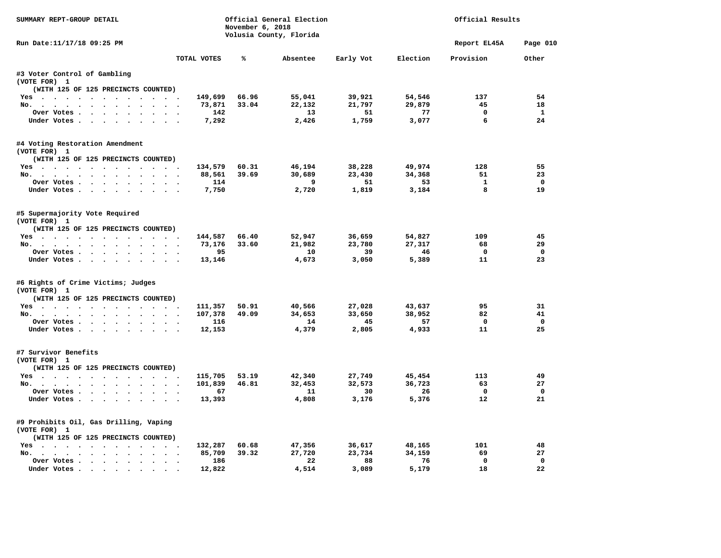| SUMMARY REPT-GROUP DETAIL                                                                                                                                                |                    | November 6, 2018 | Official General Election<br>Volusia County, Florida |           |          | Official Results |              |
|--------------------------------------------------------------------------------------------------------------------------------------------------------------------------|--------------------|------------------|------------------------------------------------------|-----------|----------|------------------|--------------|
| Run Date:11/17/18 09:25 PM                                                                                                                                               |                    |                  |                                                      |           |          | Report EL45A     | Page 010     |
|                                                                                                                                                                          | TOTAL VOTES        | ℁                | Absentee                                             | Early Vot | Election | Provision        | Other        |
| #3 Voter Control of Gambling<br>(VOTE FOR) 1                                                                                                                             |                    |                  |                                                      |           |          |                  |              |
| (WITH 125 OF 125 PRECINCTS COUNTED)                                                                                                                                      |                    |                  |                                                      |           |          |                  |              |
| Yes                                                                                                                                                                      | 149,699            | 66.96            | 55,041                                               | 39,921    | 54,546   | 137              | 54           |
| No.<br>$\ddot{\phantom{0}}$<br>$\sim$                                                                                                                                    | 73,871             | 33.04            | 22,132                                               | 21,797    | 29,879   | 45               | 18           |
| Over Votes .<br>$\begin{array}{cccccccccccccc} \bullet & \bullet & \bullet & \bullet & \bullet & \bullet & \bullet & \bullet & \bullet & \bullet \end{array}$<br>$\cdot$ | 142                |                  | 13                                                   | 51        | 77       | $\mathbf 0$      | $\mathbf{1}$ |
| Under Votes.<br>$\cdot$ $\cdot$ $\cdot$ $\cdot$ $\cdot$ $\cdot$                                                                                                          | 7,292              |                  | 2,426                                                | 1,759     | 3,077    | 6                | 24           |
| #4 Voting Restoration Amendment<br>(VOTE FOR) 1                                                                                                                          |                    |                  |                                                      |           |          |                  |              |
| (WITH 125 OF 125 PRECINCTS COUNTED)                                                                                                                                      |                    |                  |                                                      |           |          |                  |              |
| Yes                                                                                                                                                                      | 134,579            | 60.31            | 46,194                                               | 38,228    | 49,974   | 128              | 55           |
| No.                                                                                                                                                                      | 88,561             | 39.69            | 30,689                                               | 23,430    | 34,368   | 51               | 23           |
| Over Votes .<br><b>Contract Contract Contract</b><br>$\bullet$<br>$\cdots$<br>$\ddot{\phantom{a}}$                                                                       | 114                |                  | 9                                                    | 51        | 53       | $\mathbf{1}$     | $\Omega$     |
| Under Votes                                                                                                                                                              | 7,750              |                  | 2,720                                                | 1,819     | 3,184    | 8                | 19           |
| #5 Supermajority Vote Required<br>(VOTE FOR) 1                                                                                                                           |                    |                  |                                                      |           |          |                  |              |
| (WITH 125 OF 125 PRECINCTS COUNTED)                                                                                                                                      |                    |                  |                                                      |           |          |                  |              |
| Yes                                                                                                                                                                      | 144,587            | 66.40            | 52,947                                               | 36,659    | 54,827   | 109              | 45           |
| No.<br>$\sim$ $\sim$<br>$\sim$                                                                                                                                           | 73,176             | 33.60            | 21,982                                               | 23,780    | 27,317   | 68               | 29           |
| Over Votes.<br>$\sim$ $\sim$<br>$\ddot{\phantom{1}}$<br>$\cdot$<br>$\cdot$                                                                                               | 95                 |                  | 10                                                   | 39        | 46       | 0                | $\mathbf 0$  |
| Under Votes<br>$\sim$ $\sim$                                                                                                                                             | 13,146             |                  | 4,673                                                | 3,050     | 5,389    | 11               | 23           |
| #6 Rights of Crime Victims; Judges<br>(VOTE FOR) 1                                                                                                                       |                    |                  |                                                      |           |          |                  |              |
| (WITH 125 OF 125 PRECINCTS COUNTED)                                                                                                                                      |                    |                  |                                                      |           |          |                  |              |
| Yes                                                                                                                                                                      | 111,357            | 50.91            | 40,566                                               | 27,028    | 43,637   | 95               | 31           |
| No. $\cdot$ $\cdot$ $\cdot$ $\cdot$<br>$\ddot{\phantom{a}}$<br>$\cdot$ $\cdot$ $\cdot$ $\cdot$ $\cdot$                                                                   | 107,378            | 49.09            | 34,653                                               | 33,650    | 38,952   | 82               | 41           |
| Over Votes<br>$\bullet$                                                                                                                                                  | 116                |                  | 14                                                   | 45        | 57       | 0                | $\mathbf 0$  |
| Under Votes.                                                                                                                                                             | 12,153             |                  | 4,379                                                | 2,805     | 4,933    | 11               | 25           |
| #7 Survivor Benefits<br>(VOTE FOR) 1                                                                                                                                     |                    |                  |                                                      |           |          |                  |              |
| (WITH 125 OF 125 PRECINCTS COUNTED)                                                                                                                                      |                    |                  |                                                      |           |          |                  |              |
| Yes                                                                                                                                                                      | 115,705            | 53.19            | 42,340                                               | 27,749    | 45,454   | 113              | 49           |
| No.<br>$\ddot{\phantom{a}}$<br>$\bullet$ .                                                                                                                               | 101,839<br>$\cdot$ | 46.81            | 32,453                                               | 32,573    | 36,723   | 63               | 27           |
| Over Votes                                                                                                                                                               | 67                 |                  | 11                                                   | 30        | 26       | 0                | $\Omega$     |
| Under Votes<br>$\cdot$                                                                                                                                                   | 13,393             |                  | 4,808                                                | 3,176     | 5,376    | 12               | 21           |
| #9 Prohibits Oil, Gas Drilling, Vaping<br>(VOTE FOR) 1                                                                                                                   |                    |                  |                                                      |           |          |                  |              |
| (WITH 125 OF 125 PRECINCTS COUNTED)                                                                                                                                      |                    |                  |                                                      |           |          |                  |              |
| Yes                                                                                                                                                                      | 132,287            | 60.68            | 47,356                                               | 36,617    | 48,165   | 101              | 48           |
| No.<br>$\sim$                                                                                                                                                            | 85,709             | 39.32            | 27,720                                               | 23,734    | 34,159   | 69               | 27           |
| Over Votes .<br>$\mathbf{a}$ , and $\mathbf{a}$ , and $\mathbf{a}$<br>$\bullet$<br>$\sim$<br>$\ddot{\phantom{a}}$<br>$\bullet$                                           | 186<br>$\cdot$     |                  | 22                                                   | 88        | 76       | $\mathbf 0$      | $\mathbf 0$  |
| Under Votes.<br>$\sim$ $\sim$                                                                                                                                            | 12,822             |                  | 4,514                                                | 3,089     | 5,179    | 18               | 22           |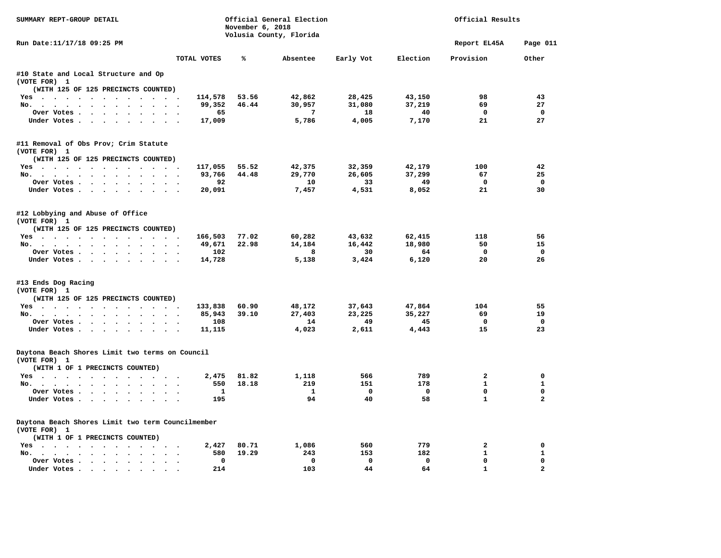| SUMMARY REPT-GROUP DETAIL                                                                                                                                     |                                     | November 6, 2018 | Official General Election<br>Volusia County, Florida |           |             | Official Results |                |
|---------------------------------------------------------------------------------------------------------------------------------------------------------------|-------------------------------------|------------------|------------------------------------------------------|-----------|-------------|------------------|----------------|
| Run Date: 11/17/18 09:25 PM                                                                                                                                   |                                     |                  |                                                      |           |             | Report EL45A     | Page 011       |
|                                                                                                                                                               | TOTAL VOTES                         | ℁                | Absentee                                             | Early Vot | Election    | Provision        | Other          |
| #10 State and Local Structure and Op<br>(VOTE FOR) 1                                                                                                          |                                     |                  |                                                      |           |             |                  |                |
| (WITH 125 OF 125 PRECINCTS COUNTED)                                                                                                                           |                                     |                  |                                                      |           |             |                  |                |
| Yes                                                                                                                                                           | 114,578                             | 53.56            | 42,862                                               | 28,425    | 43,150      | 98               | 43             |
| No.<br>$\cdot$ $\cdot$ $\cdot$<br>$\sim 10^{-1}$<br><b>Service</b>                                                                                            | 99,352                              | 46.44            | 30,957                                               | 31,080    | 37,219      | 69               | 27             |
| Over Votes                                                                                                                                                    | 65                                  |                  | 7                                                    | 18        | 40          | $\mathbf 0$      | $\mathbf 0$    |
| Under Votes<br>$\ddot{\phantom{a}}$                                                                                                                           | 17,009                              |                  | 5,786                                                | 4,005     | 7,170       | 21               | 27             |
| #11 Removal of Obs Prov; Crim Statute<br>(VOTE FOR) 1                                                                                                         |                                     |                  |                                                      |           |             |                  |                |
| (WITH 125 OF 125 PRECINCTS COUNTED)                                                                                                                           |                                     |                  |                                                      |           |             |                  |                |
| Yes                                                                                                                                                           | 117,055                             | 55.52            | 42,375                                               | 32,359    | 42,179      | 100              | 42             |
| No.                                                                                                                                                           | 93,766                              | 44.48            | 29,770                                               | 26,605    | 37,299      | 67               | 25             |
| Over Votes                                                                                                                                                    | 92                                  |                  | 10                                                   | 33        | 49          | 0                | $\Omega$       |
| Under Votes                                                                                                                                                   | 20,091                              |                  | 7,457                                                | 4,531     | 8,052       | 21               | 30             |
| #12 Lobbying and Abuse of Office<br>(VOTE FOR) 1                                                                                                              |                                     |                  |                                                      |           |             |                  |                |
| (WITH 125 OF 125 PRECINCTS COUNTED)                                                                                                                           |                                     |                  |                                                      |           |             |                  |                |
| Yes                                                                                                                                                           | 166,503                             | 77.02            | 60,282                                               | 43,632    | 62,415      | 118              | 56             |
| No.                                                                                                                                                           | 49,671                              | 22.98            | 14,184                                               | 16,442    | 18,980      | 50               | 15             |
| Over Votes<br>$\ddot{\phantom{1}}$<br>$\cdot$                                                                                                                 | 102                                 |                  | 8                                                    | 30        | 64          | 0                | $\mathbf 0$    |
| Under Votes<br>$\sim$ $\sim$                                                                                                                                  | 14,728                              |                  | 5,138                                                | 3,424     | 6,120       | 20               | 26             |
| #13 Ends Dog Racing<br>(VOTE FOR) 1                                                                                                                           |                                     |                  |                                                      |           |             |                  |                |
| (WITH 125 OF 125 PRECINCTS COUNTED)                                                                                                                           |                                     |                  |                                                      |           |             |                  |                |
| Yes                                                                                                                                                           | 133,838                             | 60.90            | 48,172                                               | 37,643    | 47,864      | 104              | 55             |
| No.<br>$\cdot$ $\cdot$ $\cdot$ $\cdot$ $\cdot$                                                                                                                | 85,943                              | 39.10            | 27,403                                               | 23,225    | 35,227      | 69               | 19             |
| Over Votes<br>$\sim$<br>$\ddot{\phantom{0}}$                                                                                                                  | 108                                 |                  | 14                                                   | 49        | 45          | 0                | $\mathbf 0$    |
| Under Votes                                                                                                                                                   | 11,115                              |                  | 4,023                                                | 2,611     | 4,443       | 15               | 23             |
| Daytona Beach Shores Limit two terms on Council<br>(VOTE FOR) 1                                                                                               |                                     |                  |                                                      |           |             |                  |                |
| (WITH 1 OF 1 PRECINCTS COUNTED)                                                                                                                               |                                     |                  |                                                      |           |             |                  |                |
| Yes                                                                                                                                                           | 2,475                               | 81.82            | 1,118                                                | 566       | 789         | $\overline{a}$   | 0              |
| No.<br>$\ddot{\phantom{0}}$<br>$\ddot{\phantom{0}}$<br>$\sim$ $\sim$                                                                                          | 550<br>$\cdot$                      | 18.18            | 219                                                  | 151       | 178         | $\mathbf{1}$     | $\mathbf{1}$   |
| Over Votes                                                                                                                                                    | 1                                   |                  | 1                                                    | 0         | $\mathbf 0$ | 0                | $\mathbf 0$    |
| Under Votes<br>$\mathbf{A}$<br>$\ddot{\phantom{a}}$                                                                                                           | 195                                 |                  | 94                                                   | 40        | 58          | $\mathbf{1}$     | $\overline{a}$ |
| Daytona Beach Shores Limit two term Councilmember<br>(VOTE FOR) 1                                                                                             |                                     |                  |                                                      |           |             |                  |                |
| (WITH 1 OF 1 PRECINCTS COUNTED)                                                                                                                               |                                     |                  |                                                      |           |             |                  |                |
| $Yes \cdot \cdot \cdot \cdot \cdot \cdot \cdot \cdot$<br>$\cdot$ $\cdot$ $\cdot$ $\cdot$                                                                      | 2,427                               | 80.71            | 1,086                                                | 560       | 779         | $\mathbf{2}$     | $\mathbf 0$    |
| No.,<br>$\sim$ $\sim$<br>$\sim$<br>$\sim$                                                                                                                     | 580                                 | 19.29            | 243                                                  | 153       | 182         | $\mathbf{1}$     | $\mathbf{1}$   |
| Over Votes<br>$\cdot$ $\cdot$<br>$\sim$<br>$\cdot$                                                                                                            | $\mathbf 0$<br>$\ddot{\phantom{a}}$ |                  | $\mathbf 0$                                          | 0         | $\mathbf 0$ | 0                | $\mathbf 0$    |
| Under Votes.<br>$\begin{array}{cccccccccccccc} \bullet & \bullet & \bullet & \bullet & \bullet & \bullet & \bullet & \bullet & \bullet & \bullet \end{array}$ | 214                                 |                  | 103                                                  | 44        | 64          | $\mathbf{1}$     | $\overline{a}$ |